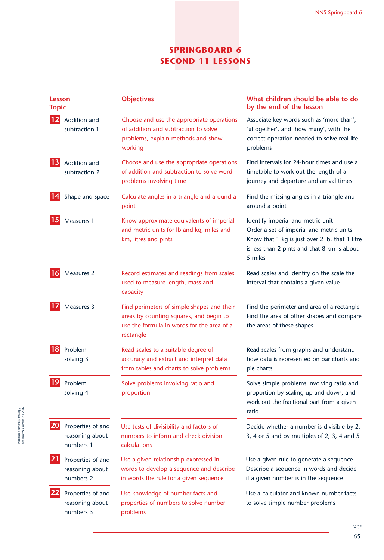# **SPRINGBOARD 6 SECOND 11 LESSONS**

| Lesson<br>Topic |                                                   | <b>Objectives</b>                                                                                                                                | What children should be able to do<br>by the end of the lesson                                                                                                                            |  |
|-----------------|---------------------------------------------------|--------------------------------------------------------------------------------------------------------------------------------------------------|-------------------------------------------------------------------------------------------------------------------------------------------------------------------------------------------|--|
| 12              | Addition and<br>subtraction 1                     | Choose and use the appropriate operations<br>of addition and subtraction to solve<br>problems, explain methods and show<br>working               | Associate key words such as 'more than',<br>'altogether', and 'how many', with the<br>correct operation needed to solve real life<br>problems                                             |  |
| 13              | Addition and<br>subtraction 2                     | Choose and use the appropriate operations<br>of addition and subtraction to solve word<br>problems involving time                                | Find intervals for 24-hour times and use a<br>timetable to work out the length of a<br>journey and departure and arrival times                                                            |  |
|                 | Shape and space                                   | Calculate angles in a triangle and around a<br>point                                                                                             | Find the missing angles in a triangle and<br>around a point                                                                                                                               |  |
| 15              | Measures 1                                        | Know approximate equivalents of imperial<br>and metric units for lb and kg, miles and<br>km, litres and pints                                    | Identify imperial and metric unit<br>Order a set of imperial and metric units<br>Know that 1 kg is just over 2 lb, that 1 litre<br>is less than 2 pints and that 8 km is about<br>5 miles |  |
| 16              | Measures 2                                        | Record estimates and readings from scales<br>used to measure length, mass and<br>capacity                                                        | Read scales and identify on the scale the<br>interval that contains a given value                                                                                                         |  |
|                 | Measures 3                                        | Find perimeters of simple shapes and their<br>areas by counting squares, and begin to<br>use the formula in words for the area of a<br>rectangle | Find the perimeter and area of a rectangle<br>Find the area of other shapes and compare<br>the areas of these shapes                                                                      |  |
| 18              | Problem<br>solving 3                              | Read scales to a suitable degree of<br>accuracy and extract and interpret data<br>from tables and charts to solve problems                       | Read scales from graphs and understand<br>how data is represented on bar charts and<br>pie charts                                                                                         |  |
| 19              | Problem<br>solving 4                              | Solve problems involving ratio and<br>proportion                                                                                                 | Solve simple problems involving ratio and<br>proportion by scaling up and down, and<br>work out the fractional part from a given<br>ratio                                                 |  |
| 20              | Properties of and<br>reasoning about<br>numbers 1 | Use tests of divisibility and factors of<br>numbers to inform and check division<br>calculations                                                 | Decide whether a number is divisible by 2,<br>3, 4 or 5 and by multiples of 2, 3, 4 and 5                                                                                                 |  |
| 21              | Properties of and<br>reasoning about<br>numbers 2 | Use a given relationship expressed in<br>words to develop a sequence and describe<br>in words the rule for a given sequence                      | Use a given rule to generate a sequence<br>Describe a sequence in words and decide<br>if a given number is in the sequence                                                                |  |
|                 | Properties of and<br>reasoning about<br>numbers 3 | Use knowledge of number facts and<br>properties of numbers to solve number<br>problems                                                           | Use a calculator and known number facts<br>to solve simple number problems                                                                                                                |  |

PAGE 65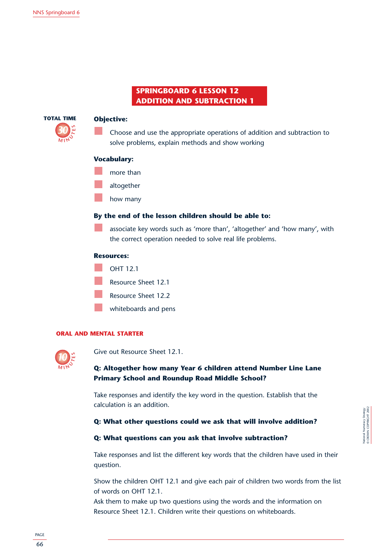# **SPRINGBOARD 6 LESSON 12 ADDITION AND SUBTRACTION 1**



# **Objective:**

Choose and use the appropriate operations of addition and subtraction to solve problems, explain methods and show working

# **Vocabulary:**

- more than
- altogether
	- how many

# **By the end of the lesson children should be able to:**

associate key words such as 'more than', 'altogether' and 'how many', with the correct operation needed to solve real life problems.

# **Resources:**



# **ORAL AND MENTAL STARTER**



Give out Resource Sheet 12.1.

# **Q: Altogether how many Year 6 children attend Number Line Lane Primary School and Roundup Road Middle School?**

Take responses and identify the key word in the question. Establish that the calculation is an addition.

# **Q: What other questions could we ask that will involve addition?**

# **Q: What questions can you ask that involve subtraction?**

Take responses and list the different key words that the children have used in their question.

Show the children OHT 12.1 and give each pair of children two words from the list of words on OHT 12.1.

Ask them to make up two questions using the words and the information on Resource Sheet 12.1. Children write their questions on whiteboards.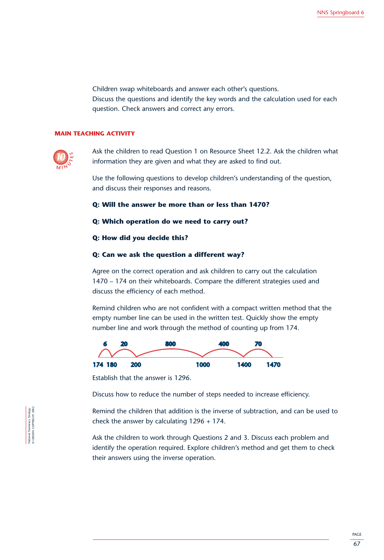Children swap whiteboards and answer each other's questions. Discuss the questions and identify the key words and the calculation used for each question. Check answers and correct any errors.

# **MAIN TEACHING ACTIVITY**



Ask the children to read Question 1 on Resource Sheet 12.2. Ask the children what information they are given and what they are asked to find out.

Use the following questions to develop children's understanding of the question, and discuss their responses and reasons.

# **Q: Will the answer be more than or less than 1470?**

# **Q: Which operation do we need to carry out?**

#### **Q: How did you decide this?**

# **Q: Can we ask the question a different way?**

Agree on the correct operation and ask children to carry out the calculation 1470 – 174 on their whiteboards. Compare the different strategies used and discuss the efficiency of each method.

Remind children who are not confident with a compact written method that the empty number line can be used in the written test. Quickly show the empty number line and work through the method of counting up from 174.



Establish that the answer is 1296.

Discuss how to reduce the number of steps needed to increase efficiency.

Remind the children that addition is the inverse of subtraction, and can be used to check the answer by calculating 1296 + 174.

Ask the children to work through Questions 2 and 3. Discuss each problem and identify the operation required. Explore children's method and get them to check their answers using the inverse operation.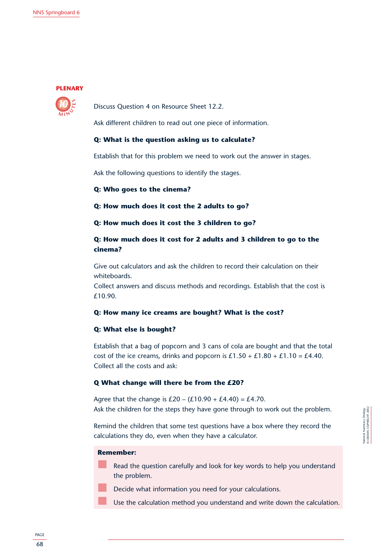# **PLENARY**



Discuss Question 4 on Resource Sheet 12.2.

Ask different children to read out one piece of information.

# **Q: What is the question asking us to calculate?**

Establish that for this problem we need to work out the answer in stages.

Ask the following questions to identify the stages.

**Q: Who goes to the cinema?**

**Q: How much does it cost the 2 adults to go?**

**Q: How much does it cost the 3 children to go?**

# **Q: How much does it cost for 2 adults and 3 children to go to the cinema?**

Give out calculators and ask the children to record their calculation on their whiteboards.

Collect answers and discuss methods and recordings. Establish that the cost is £10.90.

# **Q: How many ice creams are bought? What is the cost?**

# **Q: What else is bought?**

Establish that a bag of popcorn and 3 cans of cola are bought and that the total cost of the ice creams, drinks and popcorn is  $£1.50 + £1.80 + £1.10 = £4.40$ . Collect all the costs and ask:

# **Q What change will there be from the £20?**

Agree that the change is  $£20 - (£10.90 + £4.40) = £4.70$ . Ask the children for the steps they have gone through to work out the problem.

Remind the children that some test questions have a box where they record the calculations they do, even when they have a calculator.

# **Remember:**

- Read the question carefully and look for key words to help you understand the problem.
- Decide what information you need for your calculations.
- Use the calculation method you understand and write down the calculation.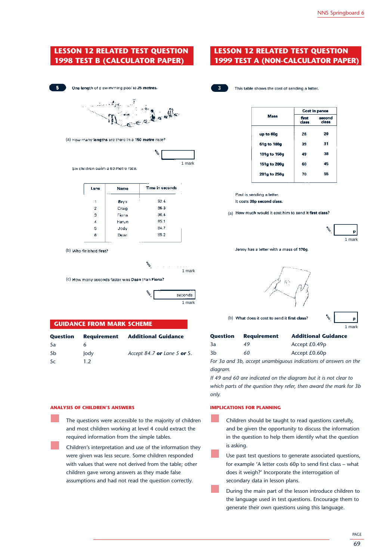# **LESSON 12 RELATED TEST QUESTION 1998 TEST B (CALCULATOR PAPER)**



One length of a swimming pool is 25 metres.



(a) How many lengths are there in a 150 metre race?



Six children swim a 50 metre race.

| Lane | Name  | Time in seconds |
|------|-------|-----------------|
| 1    | Bryn  | 92.4            |
| 2    | Craig | 86.3            |
| 3    | Fiona | 90.4            |
| 4    | Harun | 85.1            |
| 5    | Jody  | 84.7            |
| 6    | Dean  | 89.2            |

(b) Who finished first?



(c) How many seconds faster was Dean than Fiona?

| seconds |
|---------|
| 1 mark  |

#### **GUIDANCE FROM MARK SCHEME**

| Question       | <b>Requirement</b> | <b>Additional Guidance</b>  |
|----------------|--------------------|-----------------------------|
| 5a             | h                  |                             |
| 5 <sub>b</sub> | Jody               | Accept 84.7 or Lane 5 or 5. |
| 5c             | 1.2                |                             |

#### **ANALYSIS OF CHILDREN'S ANSWERS**

- The questions were accessible to the majority of children and most children working at level 4 could extract the required information from the simple tables.
- Children's interpretation and use of the information they were given was less secure. Some children responded with values that were not derived from the table; other children gave wrong answers as they made false assumptions and had not read the question correctly.

# **LESSON 12 RELATED TEST QUESTION 1999 TEST A (NON-CALCULATOR PAPER)**



This table shows the cost of sending a letter.

|              | Cost in pence  |                 |  |
|--------------|----------------|-----------------|--|
| <b>Mass</b>  | first<br>class | second<br>class |  |
| up to 60g    | 26             | 20              |  |
| 61g to 100g  | 39             | 31              |  |
| 101g to 150g | 49             | 38              |  |
| 151g to 200g | 60             | 45              |  |
| 201g to 250g | 70             | 55              |  |

Paul is sending a letter. It costs 38p second class.

(a) How much would it cost him to send it first class?



Jenny has a letter with a mass of 170g



(b) What does it cost to send it first class?

|  | mar<br>k |
|--|----------|

| Question | <b>Requirement</b> | <b>Additional Guidance</b>                                            |
|----------|--------------------|-----------------------------------------------------------------------|
| 3a       | 49                 | Accept $£0.49p$                                                       |
| 3b       | 60                 | Accept $£0.60p$                                                       |
|          |                    | For 3 round 3b. The common constitution to district on of common such |

*For 3a and 3b, accept unambiguous indications of answers on the diagram.*

*If 49 and 60 are indicated on the diagram but it is not clear to which parts of the question they refer, then award the mark for 3b only.*

#### **IMPLICATIONS FOR PLANNING**

- Children should be taught to read questions carefully, and be given the opportunity to discuss the information in the question to help them identify what the question is asking.
- Use past test questions to generate associated questions, for example 'A letter costs 60p to send first class – what does it weigh?' Incorporate the interrogation of secondary data in lesson plans.
- During the main part of the lesson introduce children to the language used in test questions. Encourage them to generate their own questions using this language.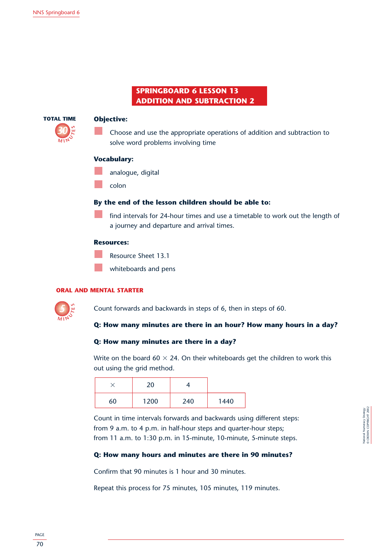# **SPRINGBOARD 6 LESSON 13 ADDITION AND SUBTRACTION 2**



# **Objective:**

Choose and use the appropriate operations of addition and subtraction to solve word problems involving time

# **Vocabulary:**

- analogue, digital
- colon

# **By the end of the lesson children should be able to:**

find intervals for 24-hour times and use a timetable to work out the length of a journey and departure and arrival times.

#### **Resources:**

Resource Sheet 13.1

whiteboards and pens

#### **ORAL AND MENTAL STARTER**



Count forwards and backwards in steps of 6, then in steps of 60.

# **Q: How many minutes are there in an hour? How many hours in a day?**

# **Q: How many minutes are there in a day?**

Write on the board 60  $\times$  24. On their whiteboards get the children to work this out using the grid method.

|    | า∩   |     |      |
|----|------|-----|------|
| 60 | 1200 | 240 | 1440 |

Count in time intervals forwards and backwards using different steps: from 9 a.m. to 4 p.m. in half-hour steps and quarter-hour steps; from 11 a.m. to 1:30 p.m. in 15-minute, 10-minute, 5-minute steps.

# **Q: How many hours and minutes are there in 90 minutes?**

Confirm that 90 minutes is 1 hour and 30 minutes.

Repeat this process for 75 minutes, 105 minutes, 119 minutes.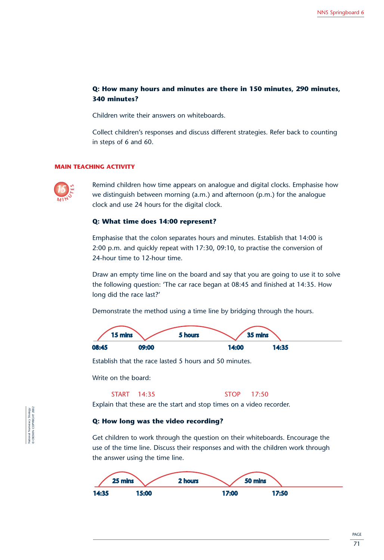# 0 6 13 20 27 34 **Q: How many hours and minutes are there in 150 minutes, 290 minutes, 340 minutes?**

Children write their answers on whiteboards.

Collect children's responses and discuss different strategies. Refer back to counting in steps of 6 and 60.

# **MAIN TEACHING ACTIVITY**



Remind children how time appears on analogue and digital clocks. Emphasise how we distinguish between morning (a.m.) and afternoon (p.m.) for the analogue clock and use 24 hours for the digital clock.

# **Q: What time does 14:00 represent?**

Emphasise that the colon separates hours and minutes. Establish that 14:00 is 2:00 p.m. and quickly repeat with 17:30, 09:10, to practise the conversion of 24-hour time to 12-hour time.

Draw an empty time line on the board and say that you are going to use it to solve the following question: 'The car race began at 08:45 and finished at 14:35. How long did the race last?'

Demonstrate the method using a time line by bridging through the hours. 5 hours 4 hours 20 mins 35 mins



Establish that the race lasted 5 hours and 50 minutes.

Write on the board:

#### START 14:35 STOP 17:50

Explain that these are the start and stop times on a video recorder.

#### **Q: How long was the video recording?** 08:45 09:00 14:00 14:00 14:00 14:00 14:00 14:00 14:00 14:00 14:00 14:00 14:00 14:00 14:00 14:00 14:00 14:00 14:00 14:00 14:00 14:00 14:00 14:00 14:00 14:00 14:00 14:00 14:00 14:00 14:00 14:00 14:00 14:00 14:00 14:00 14:00

Get children to work through the question on their whiteboards. Encourage the use of the time line. Discuss their responses and with the children work through the answer using the time line.



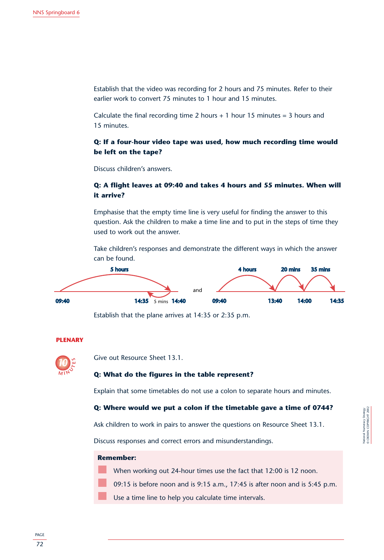Establish that the video was recording for 2 hours and 75 minutes. Refer to their earlier work to convert 75 minutes to 1 hour and 15 minutes.

Calculate the final recording time 2 hours  $+1$  hour 15 minutes = 3 hours and 15 minutes.

# **Q: If a four-hour video tape was used, how much recording time would be left on the tape?**

Discuss children's answers.

# **Q: A flight leaves at 09:40 and takes 4 hours and 55 minutes. When will it arrive?**

Emphasise that the empty time line is very useful for finding the answer to this question. Ask the children to make a time line and to put in the steps of time they used to work out the answer.

Take children's responses and demonstrate the different ways in which the answer can be found.



Establish that the plane arrives at 14:35 or 2:35 p.m.

# **PLENARY**



**15 minus Give out Resource Sheet 13.1.** 

# **Q: What do the figures in the table represent?**

Explain that some timetables do not use a colon to separate hours and minutes.

# **Q: Where would we put a colon if the timetable gave a time of 0744?**

Ask children to work in pairs to answer the questions on Resource Sheet 13.1.

Discuss responses and correct errors and misunderstandings.

# **Remember:**

When working out 24-hour times use the fact that 12:00 is 12 noon.

09:15 is before noon and is 9:15 a.m., 17:45 is after noon and is 5:45 p.m.

Use a time line to help you calculate time intervals.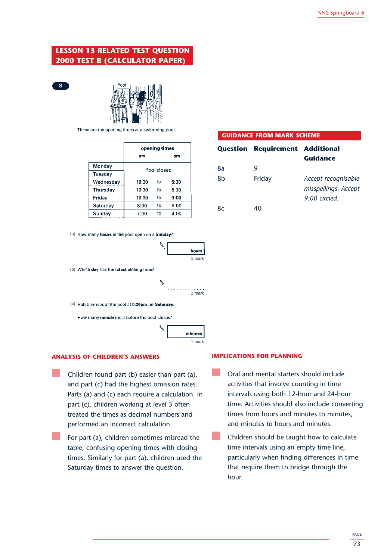# **LESSON 13 RELATED TEST QUESTION 2000 TEST B (CALCULATOR PAPER)**





These are the opening times at a swimming pool.

|                 | opening times |    |      |
|-----------------|---------------|----|------|
|                 | am            |    | рm   |
| Monday          |               |    |      |
| Tuesday         | Pool closed   |    |      |
| Wednesday       | 10:30         | to | 5:30 |
| Thursday        | 10:30         | to | 8:30 |
| Friday          | 10:30         | to | 9:00 |
| <b>Saturday</b> | 8:00          | to | 6:00 |
| Sunday          | 7:00          | t٥ | 4:00 |

(a) How many hours is the pool open on a Sunday?



(b) Which day has the latest closing time?



(c) Habib arrives at the pool at 5:20pm on Saturday.

How many minutes is it before the pool closes?



#### **ANALYSIS OF CHILDREN'S ANSWERS**

- Children found part (b) easier than part (a), and part (c) had the highest omission rates. Parts (a) and (c) each require a calculation. In part (c), children working at level 3 often treated the times as decimal numbers and performed an incorrect calculation.
	- For part (a), children sometimes misread the table, confusing opening times with closing times. Similarly for part (a), children used the Saturday times to answer the question.

#### **GUIDANCE FROM MARK SCHEME**

|    | <b>Question Requirement Additional</b> |                                                                |
|----|----------------------------------------|----------------------------------------------------------------|
|    |                                        | <b>Guidance</b>                                                |
| 8a |                                        |                                                                |
| 8b | Friday                                 | Accept recognisable<br>misspellings. Accept<br>$9:00$ circled. |
| 8c | 40                                     |                                                                |

#### **IMPLICATIONS FOR PLANNING**

- Oral and mental starters should include activities that involve counting in time intervals using both 12-hour and 24-hour time. Activities should also include converting times from hours and minutes to minutes, and minutes to hours and minutes.
- Children should be taught how to calculate time intervals using an empty time line, particularly when finding differences in time that require them to bridge through the hour.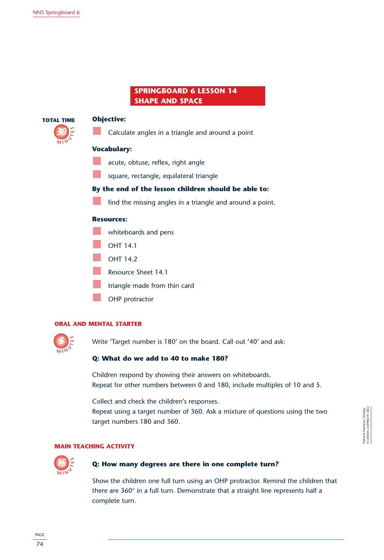# **SPRINGBOARD 6 LESSON 14 SHAPE AND SPACE**



# **Objective:**

Calculate angles in a triangle and around a point

# **Vocabulary:**

- acute, obtuse, reflex, right angle
- square, rectangle, equilateral triangle

# **By the end of the lesson children should be able to:**

find the missing angles in a triangle and around a point.

# **Resources:**

- whiteboards and pens
- OHT 14.1
- OHT 14.2
	- Resource Sheet 14.1
- triangle made from thin card
- OHP protractor

# **ORAL AND MENTAL STARTER**



Write 'Target number is 180' on the board. Call out '40' and ask:

# **Q: What do we add to 40 to make 180?**

Children respond by showing their answers on whiteboards. Repeat for other numbers between 0 and 180, include multiples of 10 and 5.

Collect and check the children's responses.

Repeat using a target number of 360. Ask a mixture of questions using the two target numbers 180 and 360.

# **MAIN TEACHING ACTIVITY**



# **Q: How many degrees are there in one complete turn?**

Show the children one full turn using an OHP protractor. Remind the children that there are 360° in a full turn. Demonstrate that a straight line represents half a complete turn.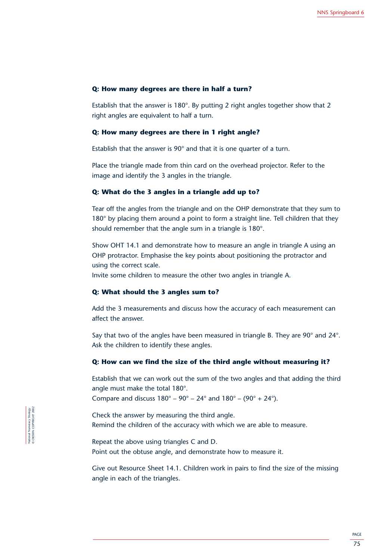# **Q: How many degrees are there in half a turn?**

Establish that the answer is 180°. By putting 2 right angles together show that 2 right angles are equivalent to half a turn.

# **Q: How many degrees are there in 1 right angle?**

Establish that the answer is 90° and that it is one quarter of a turn.

Place the triangle made from thin card on the overhead projector. Refer to the image and identify the 3 angles in the triangle.

# **Q: What do the 3 angles in a triangle add up to?**

Tear off the angles from the triangle and on the OHP demonstrate that they sum to 180° by placing them around a point to form a straight line. Tell children that they should remember that the angle sum in a triangle is 180°.

Show OHT 14.1 and demonstrate how to measure an angle in triangle A using an OHP protractor. Emphasise the key points about positioning the protractor and using the correct scale.

Invite some children to measure the other two angles in triangle A.

# **Q: What should the 3 angles sum to?**

Add the 3 measurements and discuss how the accuracy of each measurement can affect the answer.

Say that two of the angles have been measured in triangle B. They are 90° and 24°. Ask the children to identify these angles.

#### **Q: How can we find the size of the third angle without measuring it?**

Establish that we can work out the sum of the two angles and that adding the third angle must make the total 180°.

Compare and discuss  $180^{\circ} - 90^{\circ} - 24^{\circ}$  and  $180^{\circ} - (90^{\circ} + 24^{\circ})$ .

Check the answer by measuring the third angle. Remind the children of the accuracy with which we are able to measure.

Repeat the above using triangles C and D. Point out the obtuse angle, and demonstrate how to measure it.

Give out Resource Sheet 14.1. Children work in pairs to find the size of the missing angle in each of the triangles.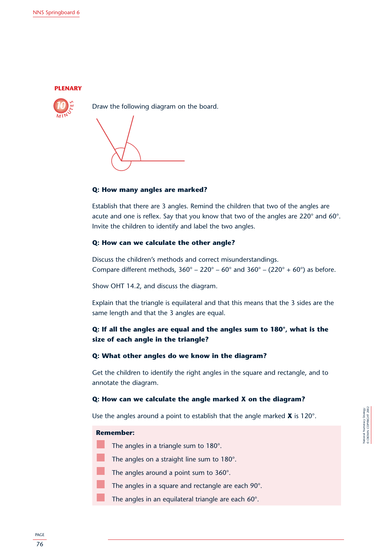



Draw the following diagram on the board.

# **Q: How many angles are marked?**

Establish that there are 3 angles. Remind the children that two of the angles are acute and one is reflex. Say that you know that two of the angles are 220° and 60°. Invite the children to identify and label the two angles.

# **Q: How can we calculate the other angle? ONEX: 14:40 14:40 14:40 14:40 14:40 14:40 14:40 14:40 14:40 14:40 14:40 14:40 14:40 14:40 14:40 14:40 14:40 14:40 14:40 14:40 14:40 14:40 14:40 14:40 14:40 14:40 14:40 14:40 14:4**

Discuss the children's methods and correct misunderstandings. Compare different methods,  $360^{\circ} - 220^{\circ} - 60^{\circ}$  and  $360^{\circ} - (220^{\circ} + 60^{\circ})$  as before.

Show OHT 14.2, and discuss the diagram.

Explain that the triangle is equilateral and that this means that the 3 sides are the same length and that the 3 angles are equal.

# **Q: If all the angles are equal and the angles sum to 180°, what is the size of each angle in the triangle?**

# **Q: What other angles do we know in the diagram?**

Get the children to identify the right angles in the square and rectangle, and to annotate the diagram.

# **Q: How can we calculate the angle marked X on the diagram?**

Use the angles around a point to establish that the angle marked **X** is 120°.

#### **Remember:**

- The angles in a triangle sum to 180°.
- The angles on a straight line sum to 180°.
- The angles around a point sum to 360°.

The angles in a square and rectangle are each 90°.

The angles in an equilateral triangle are each 60°.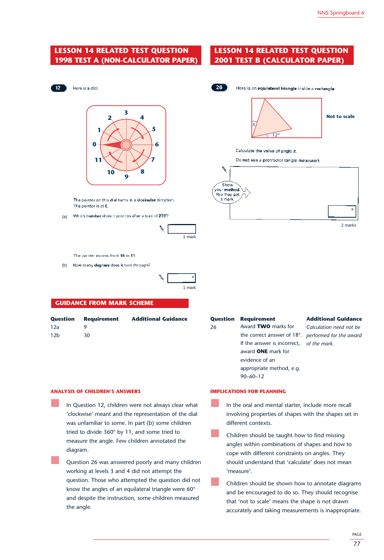# **LESSON 14 RELATED TEST QUESTION 1998 TEST A (NON-CALCULATOR PAPER)**

# **LESSON 14 RELATED TEST QUESTION 2001 TEST B (CALCULATOR PAPER)**

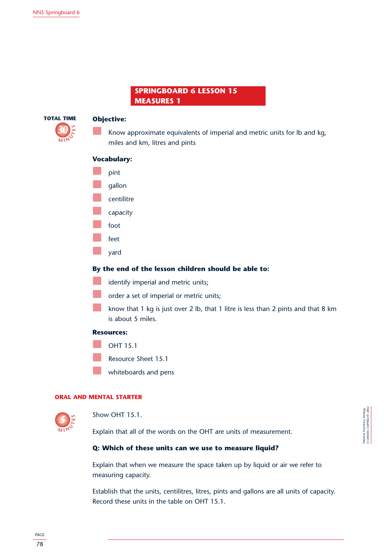# **SPRINGBOARD 6 LESSON 15 MEASURES 1**



# **Objective:**

Know approximate equivalents of imperial and metric units for lb and kg, miles and km, litres and pints

# **Vocabulary:**



- centilitre
- capacity
- foot
- feet
- yard

# **By the end of the lesson children should be able to:**

- identify imperial and metric units;
- order a set of imperial or metric units;
- know that 1 kg is just over 2 lb, that 1 litre is less than 2 pints and that 8 km is about 5 miles.

# **Resources:**

- OHT 15.1
- Resource Sheet 15.1
- whiteboards and pens

# **ORAL AND MENTAL STARTER**



Show OHT 15.1.

Explain that all of the words on the OHT are units of measurement.

# **Q: Which of these units can we use to measure liquid?**

Explain that when we measure the space taken up by liquid or air we refer to measuring capacity.

Establish that the units, centilitres, litres, pints and gallons are all units of capacity. Record these units in the table on OHT 15.1.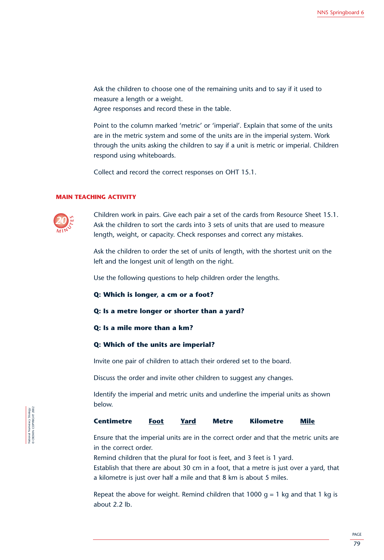Ask the children to choose one of the remaining units and to say if it used to measure a length or a weight.

Agree responses and record these in the table.

Point to the column marked 'metric' or 'imperial'. Explain that some of the units are in the metric system and some of the units are in the imperial system. Work through the units asking the children to say if a unit is metric or imperial. Children respond using whiteboards.

Collect and record the correct responses on OHT 15.1.

#### **MAIN TEACHING ACTIVITY**



Children work in pairs. Give each pair a set of the cards from Resource Sheet 15.1. Ask the children to sort the cards into 3 sets of units that are used to measure length, weight, or capacity. Check responses and correct any mistakes.

Ask the children to order the set of units of length, with the shortest unit on the left and the longest unit of length on the right.

Use the following questions to help children order the lengths.

**Q: Which is longer, a cm or a foot?**

# **Q: Is a metre longer or shorter than a yard?**

**Q: Is a mile more than a km?**

# **Q: Which of the units are imperial?**

Invite one pair of children to attach their ordered set to the board.

Discuss the order and invite other children to suggest any changes.

Identify the imperial and metric units and underline the imperial units as shown below.

#### **Centimetre Foot Yard Metre Kilometre Mile**

Ensure that the imperial units are in the correct order and that the metric units are in the correct order.

Remind children that the plural for foot is feet, and 3 feet is 1 yard.

Establish that there are about 30 cm in a foot, that a metre is just over a yard, that a kilometre is just over half a mile and that 8 km is about 5 miles.

Repeat the above for weight. Remind children that 1000  $q = 1$  kg and that 1 kg is about 2.2 lb.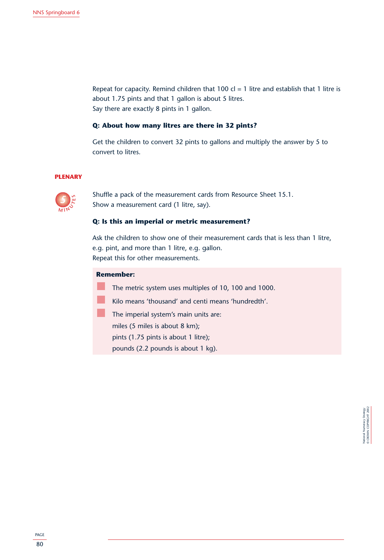Repeat for capacity. Remind children that 100 cl = 1 litre and establish that 1 litre is about 1.75 pints and that 1 gallon is about 5 litres. Say there are exactly 8 pints in 1 gallon.

# **Q: About how many litres are there in 32 pints?**

Get the children to convert 32 pints to gallons and multiply the answer by 5 to convert to litres.

# **PLENARY**



Shuffle a pack of the measurement cards from Resource Sheet 15.1. Show a measurement card (1 litre, say).

# **Q: Is this an imperial or metric measurement?**

Ask the children to show one of their measurement cards that is less than 1 litre, e.g. pint, and more than 1 litre, e.g. gallon. Repeat this for other measurements.

#### **Remember:**

The metric system uses multiples of 10, 100 and 1000.

- Kilo means 'thousand' and centi means 'hundredth'.
- The imperial system's main units are:
	- miles (5 miles is about 8 km);
	- pints (1.75 pints is about 1 litre);
	- pounds (2.2 pounds is about 1 kg).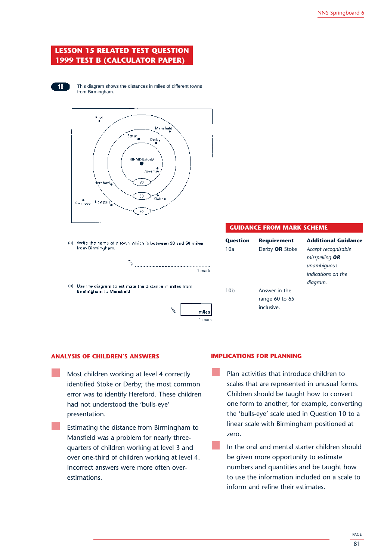# **LESSON 15 RELATED TEST QUESTION 1999 TEST B (CALCULATOR PAPER)**



This diagram shows the distances in miles of different towns from Birmingham.



(a) Write the name of a town which is between 30 and 50 miles from Birmingham.

V 1 mark

(b) Use the diagram to estimate the distance in miles from Birmingham to Mansfield.



#### **GUIDANCE FROM MARK SCHEME**

| <b>Question</b> | <b>Requirement</b> | <b>Additional Guidance</b> |
|-----------------|--------------------|----------------------------|
| 10a             | Derby OR Stoke     | Accept recognisable        |
|                 |                    | misspelling <b>OR</b>      |
|                 |                    | unambiguous                |
|                 |                    | indications on the         |
|                 |                    | diagram.                   |
| 10h             | Answer in the      |                            |
|                 | range $60$ to $65$ |                            |
|                 | inclusive.         |                            |
|                 |                    |                            |

#### **ANALYSIS OF CHILDREN'S ANSWERS**

- Most children working at level 4 correctly identified Stoke or Derby; the most common error was to identify Hereford. These children had not understood the 'bulls-eye' presentation.
	- Estimating the distance from Birmingham to Mansfield was a problem for nearly threequarters of children working at level 3 and over one-third of children working at level 4. Incorrect answers were more often overestimations.

# **IMPLICATIONS FOR PLANNING**

- Plan activities that introduce children to scales that are represented in unusual forms. Children should be taught how to convert one form to another, for example, converting the 'bulls-eye' scale used in Question 10 to a linear scale with Birmingham positioned at zero.
- In the oral and mental starter children should be given more opportunity to estimate numbers and quantities and be taught how to use the information included on a scale to inform and refine their estimates.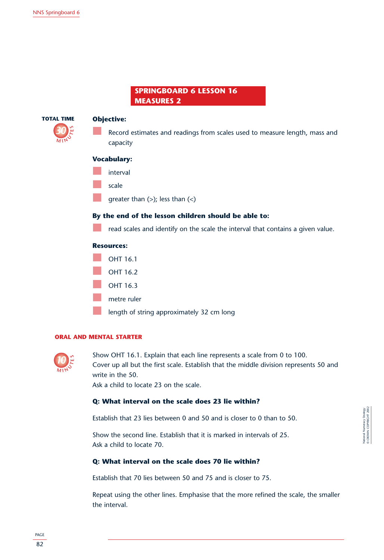# **SPRINGBOARD 6 LESSON 16 MEASURES 2**



# **Objective:**

Record estimates and readings from scales used to measure length, mass and capacity

# **Vocabulary:**

- interval
- scale
- greater than  $(>)$ ; less than  $($

# **By the end of the lesson children should be able to:**

read scales and identify on the scale the interval that contains a given value.

# **Resources:**



length of string approximately 32 cm long

# **ORAL AND MENTAL STARTER**



Show OHT 16.1. Explain that each line represents a scale from 0 to 100. Cover up all but the first scale. Establish that the middle division represents 50 and write in the 50.

Ask a child to locate 23 on the scale.

# **Q: What interval on the scale does 23 lie within?**

Establish that 23 lies between 0 and 50 and is closer to 0 than to 50.

Show the second line. Establish that it is marked in intervals of 25. Ask a child to locate 70.

# **Q: What interval on the scale does 70 lie within?**

Establish that 70 lies between 50 and 75 and is closer to 75.

Repeat using the other lines. Emphasise that the more refined the scale, the smaller the interval.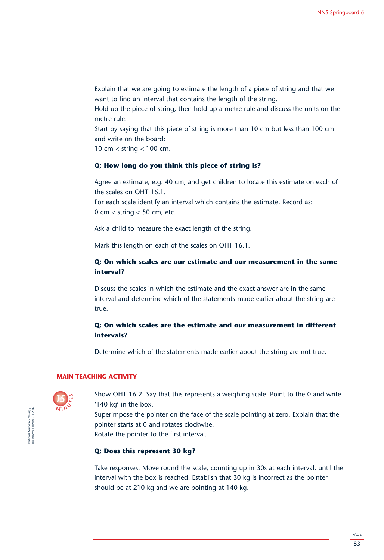Explain that we are going to estimate the length of a piece of string and that we want to find an interval that contains the length of the string.

Hold up the piece of string, then hold up a metre rule and discuss the units on the metre rule.

Start by saying that this piece of string is more than 10 cm but less than 100 cm and write on the board:

10 cm < string < 100 cm.

# **Q: How long do you think this piece of string is?**

Agree an estimate, e.g. 40 cm, and get children to locate this estimate on each of the scales on OHT 16.1.

For each scale identify an interval which contains the estimate. Record as: 0 cm  $<$  string  $<$  50 cm, etc.

Ask a child to measure the exact length of the string.

Mark this length on each of the scales on OHT 16.1.

# **Q: On which scales are our estimate and our measurement in the same interval?**

Discuss the scales in which the estimate and the exact answer are in the same interval and determine which of the statements made earlier about the string are true.

# **Q: On which scales are the estimate and our measurement in different intervals?**

Determine which of the statements made earlier about the string are not true.

#### **MAIN TEACHING ACTIVITY**



National Numeracy Strategy © CROWN COPYRIGHT 2002

lational Numeracy Strategy<br>• CROWN COPYRIGHT 2002

Show OHT 16.2. Say that this represents a weighing scale. Point to the 0 and write '140 kg' in the box.

Superimpose the pointer on the face of the scale pointing at zero. Explain that the pointer starts at 0 and rotates clockwise.

Rotate the pointer to the first interval.

# **Q: Does this represent 30 kg?**

Take responses. Move round the scale, counting up in 30s at each interval, until the interval with the box is reached. Establish that 30 kg is incorrect as the pointer should be at 210 kg and we are pointing at 140 kg.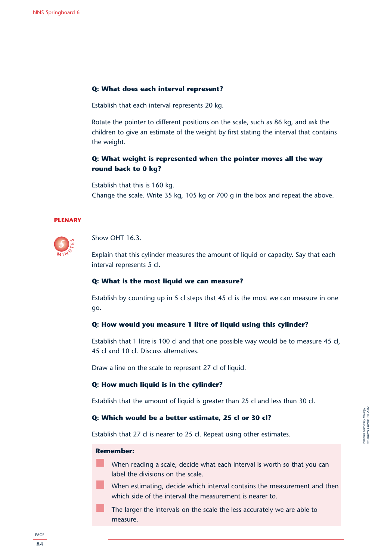# **Q: What does each interval represent?**

Establish that each interval represents 20 kg.

Rotate the pointer to different positions on the scale, such as 86 kg, and ask the children to give an estimate of the weight by first stating the interval that contains the weight.

# **Q: What weight is represented when the pointer moves all the way round back to 0 kg?**

Establish that this is 160 kg. Change the scale. Write 35 kg, 105 kg or 700 g in the box and repeat the above.

# **PLENARY**



Show OHT 16.3

Explain that this cylinder measures the amount of liquid or capacity. Say that each interval represents 5 cl.

# **Q: What is the most liquid we can measure?**

Establish by counting up in 5 cl steps that 45 cl is the most we can measure in one go.

#### **Q: How would you measure 1 litre of liquid using this cylinder?**

Establish that 1 litre is 100 cl and that one possible way would be to measure 45 cl, 45 cl and 10 cl. Discuss alternatives.

Draw a line on the scale to represent 27 cl of liquid.

# **Q: How much liquid is in the cylinder?**

Establish that the amount of liquid is greater than 25 cl and less than 30 cl.

# **Q: Which would be a better estimate, 25 cl or 30 cl?**

Establish that 27 cl is nearer to 25 cl. Repeat using other estimates.

# **Remember:**

When reading a scale, decide what each interval is worth so that you can label the divisions on the scale.

When estimating, decide which interval contains the measurement and then which side of the interval the measurement is nearer to.

The larger the intervals on the scale the less accurately we are able to measure.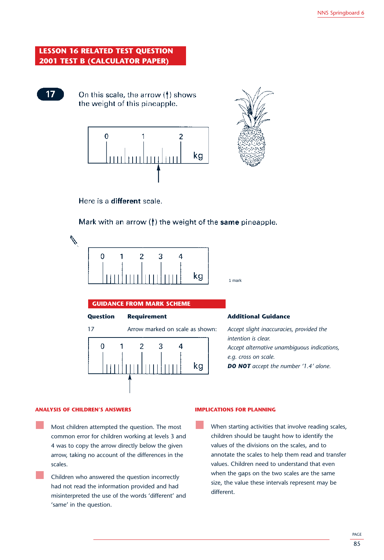# **LESSON 16 RELATED TEST QUESTION 2001 TEST B (CALCULATOR PAPER)**



On this scale, the arrow  $($ <del>|</del> $)$  shows the weight of this pineapple.



Here is a different scale.



Mark with an arrow  $($ <sup>†</sup>) the weight of the same pineapple.



1 mark

| <b>GUIDANCE FROM MARK SCHEME</b>      |                                                                                                                                                                                        |
|---------------------------------------|----------------------------------------------------------------------------------------------------------------------------------------------------------------------------------------|
| <b>Requirement</b>                    | <b>Additional Guidance</b>                                                                                                                                                             |
| Arrow marked on scale as shown:<br>kg | Accept slight inaccuracies, provided the<br>intention is clear.<br>Accept alternative unambiguous indications,<br>e.g. cross on scale.<br><b>DO NOT</b> accept the number '1.4' alone. |
|                                       |                                                                                                                                                                                        |

#### **ANALYSIS OF CHILDREN'S ANSWERS**

Most children attempted the question. The most common error for children working at levels 3 and 4 was to copy the arrow directly below the given arrow, taking no account of the differences in the scales.

Children who answered the question incorrectly had not read the information provided and had misinterpreted the use of the words 'different' and 'same' in the question.

#### **IMPLICATIONS FOR PLANNING**

When starting activities that involve reading scales, children should be taught how to identify the values of the divisions on the scales, and to annotate the scales to help them read and transfer values. Children need to understand that even when the gaps on the two scales are the same size, the value these intervals represent may be different.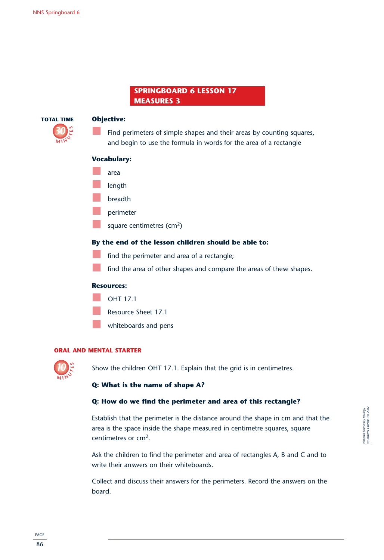# **SPRINGBOARD 6 LESSON 17 MEASURES 3**



# **Objective:**

Find perimeters of simple shapes and their areas by counting squares, and begin to use the formula in words for the area of a rectangle

# **Vocabulary:**

- area
- length
- breadth
- perimeter
- square centimetres  $(cm<sup>2</sup>)$

# **By the end of the lesson children should be able to:**

- find the perimeter and area of a rectangle;
- find the area of other shapes and compare the areas of these shapes.

# **Resources:**

- OHT 17.1
- Resource Sheet 17.1
- whiteboards and pens

# **ORAL AND MENTAL STARTER**



Show the children OHT 17.1. Explain that the grid is in centimetres.

# **Q: What is the name of shape A?**

# **Q: How do we find the perimeter and area of this rectangle?**

Establish that the perimeter is the distance around the shape in cm and that the area is the space inside the shape measured in centimetre squares, square centimetres or cm<sup>2</sup>.

Ask the children to find the perimeter and area of rectangles A, B and C and to write their answers on their whiteboards.

Collect and discuss their answers for the perimeters. Record the answers on the board.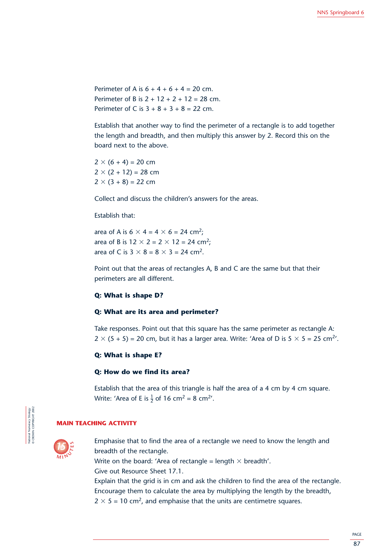Perimeter of A is  $6 + 4 + 6 + 4 = 20$  cm. Perimeter of B is  $2 + 12 + 2 + 12 = 28$  cm. Perimeter of C is  $3 + 8 + 3 + 8 = 22$  cm.

Establish that another way to find the perimeter of a rectangle is to add together the length and breadth, and then multiply this answer by 2. Record this on the board next to the above.

 $2 \times (6 + 4) = 20$  cm  $2 \times (2 + 12) = 28$  cm  $2 \times (3 + 8) = 22$  cm

Collect and discuss the children's answers for the areas.

# Establish that:

area of A is  $6 \times 4 = 4 \times 6 = 24$  cm<sup>2</sup>; area of B is  $12 \times 2 = 2 \times 12 = 24$  cm<sup>2</sup>; area of C is  $3 \times 8 = 8 \times 3 = 24$  cm<sup>2</sup>.

Point out that the areas of rectangles A, B and C are the same but that their perimeters are all different.

# **Q: What is shape D?**

# **Q: What are its area and perimeter?**

Take responses. Point out that this square has the same perimeter as rectangle A:  $2 \times (5 + 5) = 20$  cm, but it has a larger area. Write: 'Area of D is  $5 \times 5 = 25$  cm<sup>2</sup>'.

# **Q: What is shape E?**

# **Q: How do we find its area?**

Establish that the area of this triangle is half the area of a 4 cm by 4 cm square. Write: 'Area of E is  $\frac{1}{2}$  of 16 cm<sup>2</sup> = 8 cm<sup>2</sup>'.

#### **MAIN TEACHING ACTIVITY**



National Numeracy Strategy © CROWN COPYRIGHT 2002

Vational Numeracy Strategy<br>
CROWN COPYRIGHT 2002

Emphasise that to find the area of a rectangle we need to know the length and breadth of the rectangle.

Write on the board: 'Area of rectangle = length  $\times$  breadth'. Give out Resource Sheet 17.1.

Explain that the grid is in cm and ask the children to find the area of the rectangle. Encourage them to calculate the area by multiplying the length by the breadth,  $2 \times 5 = 10$  cm<sup>2</sup>, and emphasise that the units are centimetre squares.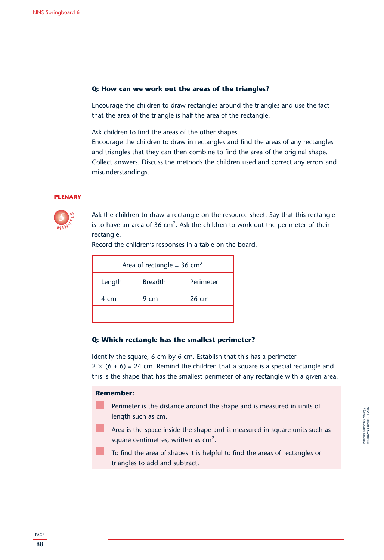# **Q: How can we work out the areas of the triangles?**

Encourage the children to draw rectangles around the triangles and use the fact that the area of the triangle is half the area of the rectangle.

Ask children to find the areas of the other shapes.

Encourage the children to draw in rectangles and find the areas of any rectangles and triangles that they can then combine to find the area of the original shape. Collect answers. Discuss the methods the children used and correct any errors and misunderstandings.

#### **PLENARY**



Ask the children to draw a rectangle on the resource sheet. Say that this rectangle is to have an area of  $36 \text{ cm}^2$ . Ask the children to work out the perimeter of their rectangle.

| Area of rectangle = $36 \text{ cm}^2$ |      |       |  |  |  |  |
|---------------------------------------|------|-------|--|--|--|--|
| <b>Breadth</b><br>Perimeter<br>Length |      |       |  |  |  |  |
| 4 cm                                  | 9 cm | 26 cm |  |  |  |  |
|                                       |      |       |  |  |  |  |

Record the children's responses in a table on the board.

# **Q: Which rectangle has the smallest perimeter?**

Identify the square, 6 cm by 6 cm. Establish that this has a perimeter 2  $\times$  (6 + 6) = 24 cm. Remind the children that a square is a special rectangle and this is the shape that has the smallest perimeter of any rectangle with a given area.

# **Remember:**

- Perimeter is the distance around the shape and is measured in units of length such as cm.
- Area is the space inside the shape and is measured in square units such as square centimetres, written as  $cm<sup>2</sup>$ .
- To find the area of shapes it is helpful to find the areas of rectangles or triangles to add and subtract.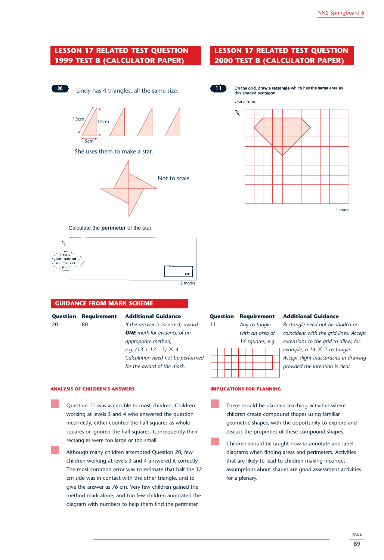# **LESSON 17 RELATED TEST QUESTION 1999 TEST B (CALCULATOR PAPER)**





# **LESSON 17 RELATED TEST QUESTION 2000 TEST B (CALCULATOR PAPER)**



On the grid, draw a rectangle which has the same area as this shaded pentagon.



Calculate the **perimeter** of the star.



# **GUIDANCE FROM MARK SCHEME**

|     | <b>Question Requireme</b> |
|-----|---------------------------|
| -20 | 80                        |
|     |                           |

#### **nt Additional Guidance**

If the answer is incorrect, award *ONE mark for evidence of an appropriate method, e.g.*  $(13 + 12 - 5) \times 4$ *Calculation need not be performed for the award of the mark.*

#### **ANALYSIS OF CHILDREN'S ANSWERS**

Question 11 was accessible to most children. Children working at levels 3 and 4 who answered the question incorrectly, either counted the half squares as whole squares or ignored the half squares. Consequently their rectangles were too large or too small.

Although many children attempted Question 20, few children working at levels 3 and 4 answered it correctly. The most common error was to estimate that half the 12 cm side was in contact with the other triangle, and to give the answer as 76 cm. Very few children gained the method mark alone, and too few children annotated the diagram with numbers to help them find the perimeter.

# **Question Requirement Additional Guidance**

11 *Any rectangle Rectangle need not be shaded or with an area of coincident with the grid lines. Accept 14 squares, e.g. extensions to the grid to allow, for*   $example, a 14 \times 1 rectangle.$ *Accept slight inaccuracies in drawing provided the intention is clear.*

#### **IMPLICATIONS FOR PLANNING**

There should be planned teaching activities where children create compound shapes using familiar geometric shapes, with the opportunity to explore and discuss the properties of these compound shapes.

Children should be taught how to annotate and label diagrams when finding areas and perimeters. Activities that are likely to lead to children making incorrect assumptions about shapes are good assessment activities for a plenary.

PAGE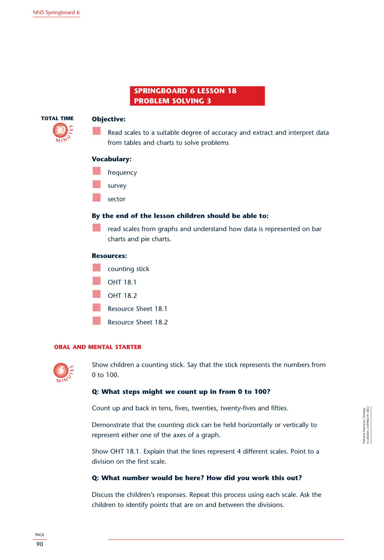# **SPRINGBOARD 6 LESSON 18 PROBLEM SOLVING 3**



# **Objective:**

Read scales to a suitable degree of accuracy and extract and interpret data from tables and charts to solve problems

# **Vocabulary:**

- frequency
- survey
- sector

# **By the end of the lesson children should be able to:**

read scales from graphs and understand how data is represented on bar charts and pie charts.

# **Resources:**



# **ORAL AND MENTAL STARTER**



Show children a counting stick. Say that the stick represents the numbers from 0 to 100.

# **Q: What steps might we count up in from 0 to 100?**

Count up and back in tens, fives, twenties, twenty-fives and fifties.

Demonstrate that the counting stick can be held horizontally or vertically to represent either one of the axes of a graph.

Show OHT 18.1. Explain that the lines represent 4 different scales. Point to a division on the first scale.

# **Q: What number would be here? How did you work this out?**

Discuss the children's responses. Repeat this process using each scale. Ask the children to identify points that are on and between the divisions.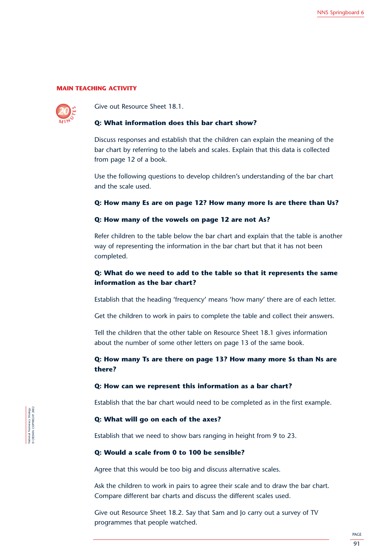# **MAIN TEACHING ACTIVITY**



Give out Resource Sheet 18.1.

#### **Q: What information does this bar chart show?**

Discuss responses and establish that the children can explain the meaning of the bar chart by referring to the labels and scales. Explain that this data is collected from page 12 of a book.

Use the following questions to develop children's understanding of the bar chart and the scale used.

# **Q: How many Es are on page 12? How many more Is are there than Us?**

# **Q: How many of the vowels on page 12 are not As?**

Refer children to the table below the bar chart and explain that the table is another way of representing the information in the bar chart but that it has not been completed.

# **Q: What do we need to add to the table so that it represents the same information as the bar chart?**

Establish that the heading 'frequency' means 'how many' there are of each letter.

Get the children to work in pairs to complete the table and collect their answers.

Tell the children that the other table on Resource Sheet 18.1 gives information about the number of some other letters on page 13 of the same book.

# **Q: How many Ts are there on page 13? How many more Ss than Ns are there?**

# **Q: How can we represent this information as a bar chart?**

Establish that the bar chart would need to be completed as in the first example.

# **Q: What will go on each of the axes?**

Establish that we need to show bars ranging in height from 9 to 23.

# **Q: Would a scale from 0 to 100 be sensible?**

Agree that this would be too big and discuss alternative scales.

Ask the children to work in pairs to agree their scale and to draw the bar chart. Compare different bar charts and discuss the different scales used.

Give out Resource Sheet 18.2. Say that Sam and Jo carry out a survey of TV programmes that people watched.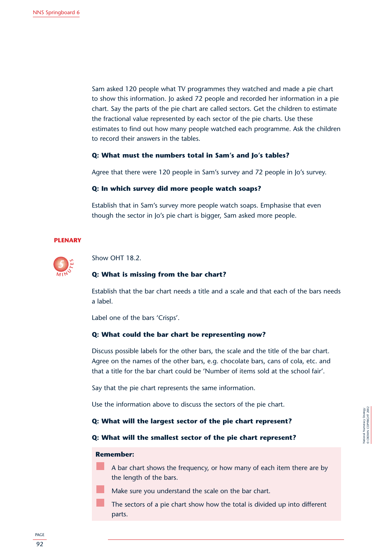Sam asked 120 people what TV programmes they watched and made a pie chart to show this information. Jo asked 72 people and recorded her information in a pie chart. Say the parts of the pie chart are called sectors. Get the children to estimate the fractional value represented by each sector of the pie charts. Use these estimates to find out how many people watched each programme. Ask the children to record their answers in the tables.

# **Q: What must the numbers total in Sam's and Jo's tables?**

Agree that there were 120 people in Sam's survey and 72 people in Jo's survey.

#### **Q: In which survey did more people watch soaps?**

Establish that in Sam's survey more people watch soaps. Emphasise that even though the sector in Jo's pie chart is bigger, Sam asked more people.

#### **PLENARY**



Show OHT 18.2.

#### **Q: What is missing from the bar chart?**

Establish that the bar chart needs a title and a scale and that each of the bars needs a label.

Label one of the bars 'Crisps'.

# **Q: What could the bar chart be representing now?**

Discuss possible labels for the other bars, the scale and the title of the bar chart. Agree on the names of the other bars, e.g. chocolate bars, cans of cola, etc. and that a title for the bar chart could be 'Number of items sold at the school fair'.

Say that the pie chart represents the same information.

Use the information above to discuss the sectors of the pie chart.

# **Q: What will the largest sector of the pie chart represent?**

# **Q: What will the smallest sector of the pie chart represent?**

#### **Remember:**

- A bar chart shows the frequency, or how many of each item there are by the length of the bars.
	- Make sure you understand the scale on the bar chart.
	- The sectors of a pie chart show how the total is divided up into different parts.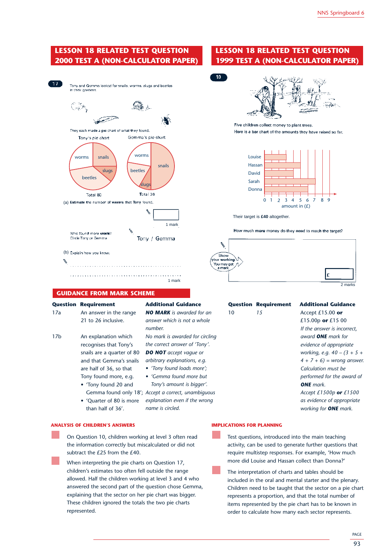# **LESSON 18 RELATED TEST QUESTION 2000 TEST A (NON-CALCULATOR PAPER)**



# **GUIDANCE FROM MARK SCHEME**

**Question Requirement Additional Guidance** 17a *NO MARK is awarded for an* An answer in the range 21 to 26 inclusive. An explanation which recognises that Tony's snails are a quarter of 80 and that Gemma's snails are half of 36, so that Tony found more, e.g. • 'Tony found 20 and 17b

*answer which is not a whole number. No mark is awarded for circling the correct answer of 'Tony'. DO NOT accept vague or arbitrary explanations, e.g.*

*• 'Tony found loads more';*

- *'Gemma found more but Tony's amount is bigger'.*
- Gemma found only 18'; Accept a correct, unambiguous *explanation even if the wrong* • 'Quarter of 80 is more

*name is circled.* than half of 36'.

#### **ANALYSIS OF CHILDREN'S ANSWERS**

On Question 10, children working at level 3 often read the information correctly but miscalculated or did not subtract the £25 from the £40.

When interpreting the pie charts on Question 17, children's estimates too often fell outside the range allowed. Half the children working at level 3 and 4 who answered the second part of the question chose Gemma, explaining that the sector on her pie chart was bigger. These children ignored the totals the two pie charts represented.

# **LESSON 18 RELATED TEST QUESTION 1999 TEST A (NON-CALCULATOR PAPER)**





Five children collect money to plant trees. Here is a bar chart of the amounts they have raised so far.



Their target is **£40** altogether.

How much more money do they need to reach the target?



# 10 *15* Accept £15.00 **or**

#### **Question Requirement Additional Guidance**

£15.00p **or** £15 00 *If the answer is incorrect, award ONE mark for evidence of appropriate working, e.g. 40 – (3 + 5 + 4 + 7 + 6) = wrong answer. Calculation must be performed for the award of ONE mark. Accept £1500p or £1500 as evidence of appropriate working for ONE mark.*

#### **IMPLICATIONS FOR PLANNING**

Test questions, introduced into the main teaching activity, can be used to generate further questions that require multistep responses. For example, 'How much more did Louise and Hassan collect than Donna?'

The interpretation of charts and tables should be included in the oral and mental starter and the plenary. Children need to be taught that the sector on a pie chart represents a proportion, and that the total number of items represented by the pie chart has to be known in order to calculate how many each sector represents.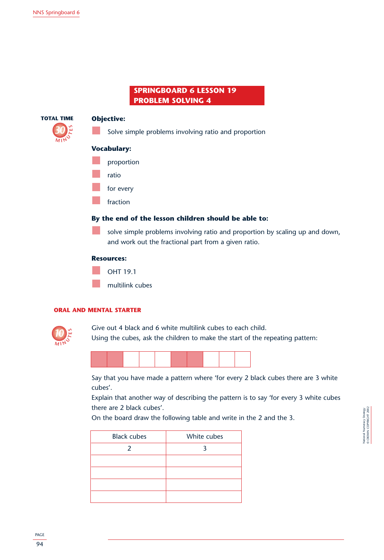# **SPRINGBOARD 6 LESSON 19 PROBLEM SOLVING 4**



# **Objective:**

Solve simple problems involving ratio and proportion

# **Vocabulary:**

- proportion
- ratio
- for every
	- fraction

# **By the end of the lesson children should be able to:**

solve simple problems involving ratio and proportion by scaling up and down, and work out the fractional part from a given ratio.

# **Resources:**



# **ORAL AND MENTAL STARTER**



Give out 4 black and 6 white multilink cubes to each child. Using the cubes, ask the children to make the start of the repeating pattern:



Say that you have made a pattern where 'for every 2 black cubes there are 3 white cubes'.

Explain that another way of describing the pattern is to say 'for every 3 white cubes there are 2 black cubes'.

On the board draw the following table and write in the 2 and the 3.

| <b>Black cubes</b> | White cubes |
|--------------------|-------------|
| $\mathcal{P}$      |             |
|                    |             |
|                    |             |
|                    |             |
|                    |             |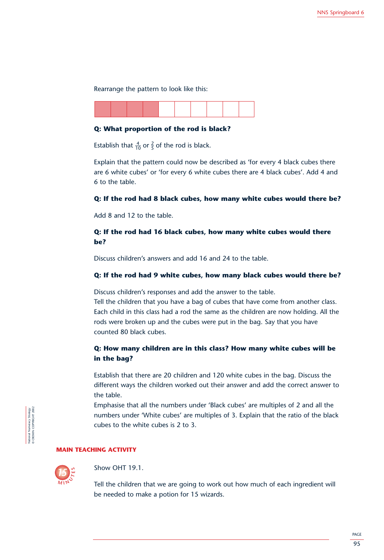Rearrange the pattern to look like this:

# **Q: What proportion of the rod is black?**

Establish that  $\frac{4}{10}$  or  $\frac{2}{5}$  of the rod is black.

Explain that the pattern could now be described as 'for every 4 black cubes there are 6 white cubes' or 'for every 6 white cubes there are 4 black cubes'. Add 4 and 6 to the table.

# **Q: If the rod had 8 black cubes, how many white cubes would there be?**

Add 8 and 12 to the table.

# **Q: If the rod had 16 black cubes, how many white cubes would there be?**

Discuss children's answers and add 16 and 24 to the table.

# **Q: If the rod had 9 white cubes, how many black cubes would there be?**

Discuss children's responses and add the answer to the table.

Tell the children that you have a bag of cubes that have come from another class. Each child in this class had a rod the same as the children are now holding. All the rods were broken up and the cubes were put in the bag. Say that you have counted 80 black cubes.

# **Q: How many children are in this class? How many white cubes will be in the bag?**

Establish that there are 20 children and 120 white cubes in the bag. Discuss the different ways the children worked out their answer and add the correct answer to the table.

Emphasise that all the numbers under 'Black cubes' are multiples of 2 and all the numbers under 'White cubes' are multiples of 3. Explain that the ratio of the black cubes to the white cubes is 2 to 3.

# **MAIN TEACHING ACTIVITY**



National Numeracy Strategy © CROWN COPYRIGHT 2002

National Numeracy Strategy<br>© CROWN COPYRIGHT 2002

Show OHT 19.1.

Tell the children that we are going to work out how much of each ingredient will be needed to make a potion for 15 wizards.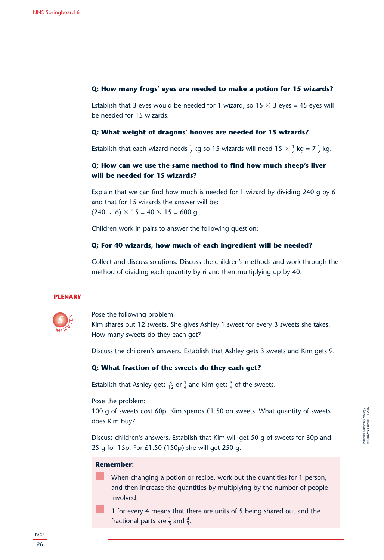# **Q: How many frogs' eyes are needed to make a potion for 15 wizards?**

Establish that 3 eyes would be needed for 1 wizard, so 15  $\times$  3 eyes = 45 eyes will be needed for 15 wizards.

# **Q: What weight of dragons' hooves are needed for 15 wizards?**

Establish that each wizard needs  $\frac{1}{2}$  kg so 15 wizards will need 15  $\times$   $\frac{1}{2}$  kg = 7  $\frac{1}{2}$  kg.

# **Q: How can we use the same method to find how much sheep's liver will be needed for 15 wizards?**

Explain that we can find how much is needed for 1 wizard by dividing 240 g by 6 and that for 15 wizards the answer will be:  $(240 \div 6) \times 15 = 40 \times 15 = 600$  g.

Children work in pairs to answer the following question:

# **Q: For 40 wizards, how much of each ingredient will be needed?**

Collect and discuss solutions. Discuss the children's methods and work through the method of dividing each quantity by 6 and then multiplying up by 40.

#### **PLENARY**



Pose the following problem: Kim shares out 12 sweets. She gives Ashley 1 sweet for every 3 sweets she takes. How many sweets do they each get?

Discuss the children's answers. Establish that Ashley gets 3 sweets and Kim gets 9.

# **Q: What fraction of the sweets do they each get?**

Establish that Ashley gets  $\frac{3}{12}$  or  $\frac{1}{4}$  and Kim gets  $\frac{3}{4}$  of the sweets.

Pose the problem:

100 g of sweets cost 60p. Kim spends £1.50 on sweets. What quantity of sweets does Kim buy?

Discuss children's answers. Establish that Kim will get 50 g of sweets for 30p and 25 g for 15p. For £1.50 (150p) she will get 250 g.

# **Remember:**

When changing a potion or recipe, work out the quantities for 1 person, and then increase the quantities by multiplying by the number of people involved.

1 for every 4 means that there are units of 5 being shared out and the fractional parts are  $\frac{1}{5}$  and  $\frac{4}{5}$ .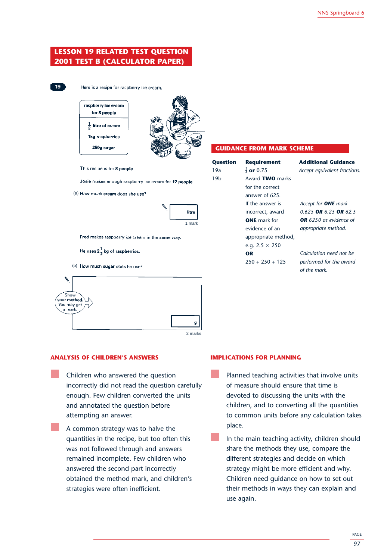# **LESSON 19 RELATED TEST QUESTION 2001 TEST B (CALCULATOR PAPER)**



Here is a recipe for raspberry ice cream.



This recipe is for 8 people.

Josie makes enough raspberry ice cream for 12 people.

(a) How much cream does she use?

| litre  |
|--------|
| 1 mark |

Fred makes raspberry ice cream in the same way.

He uses  $2\frac{1}{2}$ kg of raspberries.

(b) How much sugar does he use?

| ۴.<br>Show<br>⁄ your <mark>method.</mark><br>You may get $\sqcap$<br>a mark. |         |
|------------------------------------------------------------------------------|---------|
|                                                                              | g       |
|                                                                              | 2 marks |

# **ANALYSIS OF CHILDREN'S ANSWERS**

- Children who answered the question incorrectly did not read the question carefully enough. Few children converted the units and annotated the question before attempting an answer.
	- A common strategy was to halve the quantities in the recipe, but too often this was not followed through and answers remained incomplete. Few children who answered the second part incorrectly obtained the method mark, and children's strategies were often inefficient.

#### **GUIDANCE FROM MARK SCHEME**

| Question | <b>Requirement</b>    | <b>Additional Guidance</b>    |
|----------|-----------------------|-------------------------------|
| 19a      | $\frac{3}{4}$ or 0.75 | Accept equivalent fractions.  |
| 19b      | Award TWO marks       |                               |
|          | for the correct       |                               |
|          | answer of 625.        |                               |
|          | If the answer is      | Accept for <b>ONE</b> mark    |
|          | incorrect, award      | 0.625 OR 6.25 OR 62.5         |
|          | <b>ONE</b> mark for   | <b>OR</b> 6250 as evidence of |
|          | evidence of an        | appropriate method.           |
|          | appropriate method,   |                               |
|          | e.g. $2.5 \times 250$ |                               |
|          | OR                    | Calculation need not be       |
|          | $250 + 250 + 125$     | performed for the award       |
|          |                       | of the mark.                  |

# **IMPLICATIONS FOR PLANNING**

- Planned teaching activities that involve units of measure should ensure that time is devoted to discussing the units with the children, and to converting all the quantities to common units before any calculation takes place.
- In the main teaching activity, children should share the methods they use, compare the different strategies and decide on which strategy might be more efficient and why. Children need guidance on how to set out their methods in ways they can explain and use again.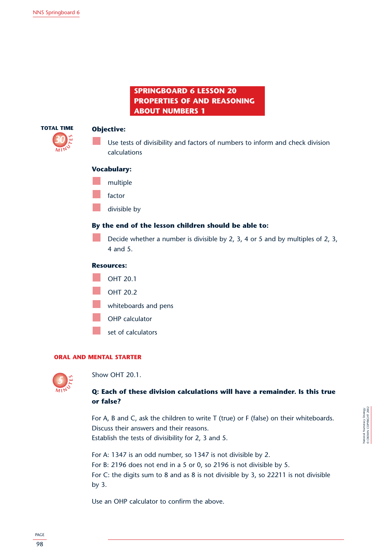# **SPRINGBOARD 6 LESSON 20 PROPERTIES OF AND REASONING ABOUT NUMBERS 1**



# **Objective:**

Use tests of divisibility and factors of numbers to inform and check division calculations

# **Vocabulary:**

- multiple
- factor
- divisible by

# **By the end of the lesson children should be able to:**

Decide whether a number is divisible by 2, 3, 4 or 5 and by multiples of 2, 3, 4 and 5.

# **Resources:**

OHT 20.1 OHT 20.2 whiteboards and pens OHP calculator set of calculators

# **ORAL AND MENTAL STARTER**



Show OHT 20.1.

# **Q: Each of these division calculations will have a remainder. Is this true or false?**

For A, B and C, ask the children to write T (true) or F (false) on their whiteboards. Discuss their answers and their reasons. Establish the tests of divisibility for 2, 3 and 5.

For A: 1347 is an odd number, so 1347 is not divisible by 2. For B: 2196 does not end in a 5 or 0, so 2196 is not divisible by 5. For C: the digits sum to 8 and as 8 is not divisible by 3, so 22211 is not divisible by 3.

Use an OHP calculator to confirm the above.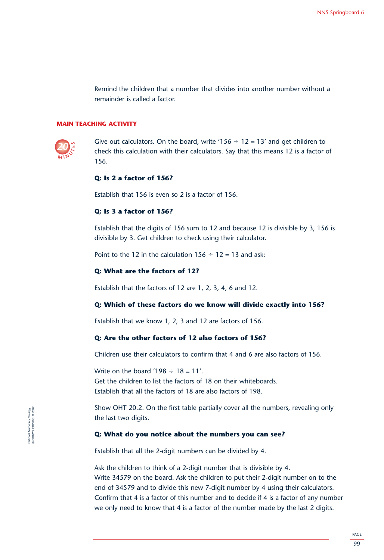Remind the children that a number that divides into another number without a remainder is called a factor.

# **MAIN TEACHING ACTIVITY**



Give out calculators. On the board, write '156  $\div$  12 = 13' and get children to check this calculation with their calculators. Say that this means 12 is a factor of 156.

# **Q: Is 2 a factor of 156?**

Establish that 156 is even so 2 is a factor of 156.

# **Q: Is 3 a factor of 156?**

Establish that the digits of 156 sum to 12 and because 12 is divisible by 3, 156 is divisible by 3. Get children to check using their calculator.

Point to the 12 in the calculation  $156 \div 12 = 13$  and ask:

# **Q: What are the factors of 12?**

Establish that the factors of 12 are 1, 2, 3, 4, 6 and 12.

# **Q: Which of these factors do we know will divide exactly into 156?**

Establish that we know 1, 2, 3 and 12 are factors of 156.

# **Q: Are the other factors of 12 also factors of 156?**

Children use their calculators to confirm that 4 and 6 are also factors of 156.

Write on the board '198  $\div$  18 = 11'. Get the children to list the factors of 18 on their whiteboards. Establish that all the factors of 18 are also factors of 198.

Show OHT 20.2. On the first table partially cover all the numbers, revealing only the last two digits.

# **Q: What do you notice about the numbers you can see?**

Establish that all the 2-digit numbers can be divided by 4.

Ask the children to think of a 2-digit number that is divisible by 4. Write 34579 on the board. Ask the children to put their 2-digit number on to the end of 34579 and to divide this new 7-digit number by 4 using their calculators. Confirm that 4 is a factor of this number and to decide if 4 is a factor of any number we only need to know that 4 is a factor of the number made by the last 2 digits.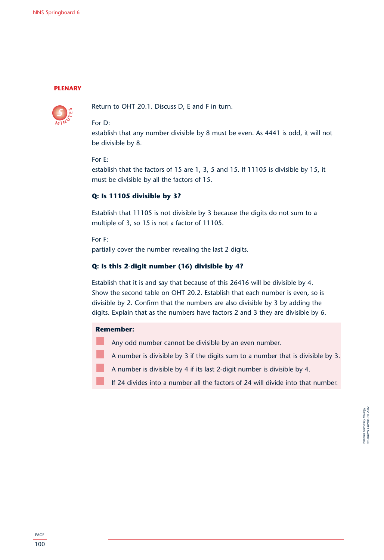#### **PLENARY**



Return to OHT 20.1. Discuss D, E and F in turn.

# For D:

establish that any number divisible by 8 must be even. As 4441 is odd, it will not be divisible by 8.

#### For E:

establish that the factors of 15 are 1, 3, 5 and 15. If 11105 is divisible by 15, it must be divisible by all the factors of 15.

# **Q: Is 11105 divisible by 3?**

Establish that 11105 is not divisible by 3 because the digits do not sum to a multiple of 3, so 15 is not a factor of 11105.

For F:

partially cover the number revealing the last 2 digits.

# **Q: Is this 2-digit number (16) divisible by 4?**

Establish that it is and say that because of this 26416 will be divisible by 4. Show the second table on OHT 20.2. Establish that each number is even, so is divisible by 2. Confirm that the numbers are also divisible by 3 by adding the digits. Explain that as the numbers have factors 2 and 3 they are divisible by 6.

# **Remember:**

- Any odd number cannot be divisible by an even number.
- A number is divisible by 3 if the digits sum to a number that is divisible by 3.
- A number is divisible by 4 if its last 2-digit number is divisible by 4.
- If 24 divides into a number all the factors of 24 will divide into that number.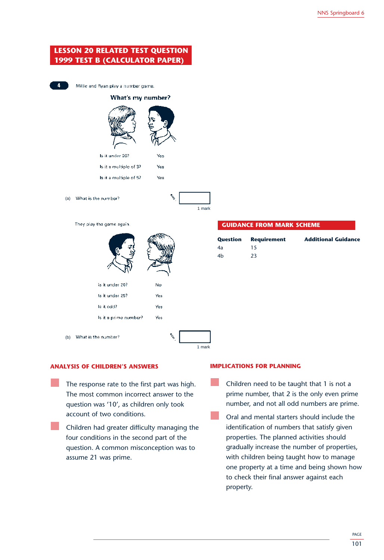

### **ANALYSIS OF CHILDREN'S ANSWERS**

- The response rate to the first part was high. The most common incorrect answer to the question was '10', as children only took account of two conditions.
	- Children had greater difficulty managing the four conditions in the second part of the question. A common misconception was to assume 21 was prime.

### **IMPLICATIONS FOR PLANNING**

- Children need to be taught that 1 is not a prime number, that 2 is the only even prime number, and not all odd numbers are prime.
- Oral and mental starters should include the identification of numbers that satisfy given properties. The planned activities should gradually increase the number of properties, with children being taught how to manage one property at a time and being shown how to check their final answer against each property.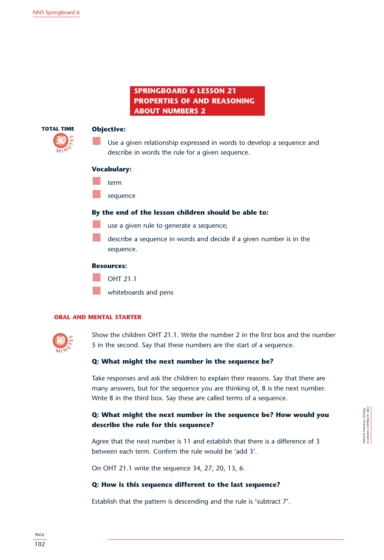### **SPRINGBOARD 6 LESSON 21 PROPERTIES OF AND REASONING ABOUT NUMBERS 2**



### **Objective:**

Use a given relationship expressed in words to develop a sequence and describe in words the rule for a given sequence.

### **Vocabulary:**

- term
- sequence

### **By the end of the lesson children should be able to:**

- use a given rule to generate a sequence;
- describe a sequence in words and decide if a given number is in the sequence.

### **Resources:**

- OHT 21.1
- whiteboards and pens

### **ORAL AND MENTAL STARTER**



Show the children OHT 21.1. Write the number 2 in the first box and the number 5 in the second. Say that these numbers are the start of a sequence.

### **Q: What might the next number in the sequence be?**

Take responses and ask the children to explain their reasons. Say that there are many answers, but for the sequence you are thinking of, 8 is the next number. Write 8 in the third box. Say these are called terms of a sequence.

### **Q: What might the next number in the sequence be? How would you describe the rule for this sequence?**

Agree that the next number is 11 and establish that there is a difference of 3 between each term. Confirm the rule would be 'add 3'.

On OHT 21.1 write the sequence 34, 27, 20, 13, 6.

### **Q: How is this sequence different to the last sequence?**

Establish that the pattern is descending and the rule is 'subtract 7'.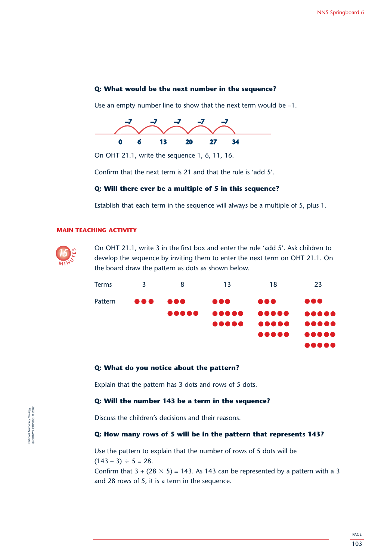### **Q: What would be the next number in the sequence?**

Use an empty number line to show that the next term would be –1.



On OHT 21.1, write the sequence 1, 6, 11, 16.

Confirm that the next term is 21 and that the rule is 'add 5'.

### **Q: Will there ever be a multiple of 5 in this sequence?**

Establish that each term in the sequence will always be a multiple of 5, plus 1.

### **MAIN TEACHING ACTIVITY**



On OHT 21.1, write 3 in the first box and enter the rule 'add 5'. Ask children to develop the sequence by inviting them to enter the next term on OHT 21.1. On the board draw the pattern as dots as shown below.



### **Q: What do you notice about the pattern?**

Explain that the pattern has 3 dots and rows of 5 dots.

### **Q: Will the number 143 be a term in the sequence?** 08:45 09:00 14:35 09:00 14:35 09:00 14:35 09:00 14:35 09:00 14:35 09:00 14:35 09:00 14:35

Discuss the children's decisions and their reasons.

### **Q: How many rows of 5 will be in the pattern that represents 143?**

Use the pattern to explain that the number of rows of 5 dots will be  $(143 - 3) \div 5 = 28.$ 

Confirm that  $3 + (28 \times 5) = 143$ . As 143 can be represented by a pattern with a 3 and 28 rows of 5, it is a term in the sequence.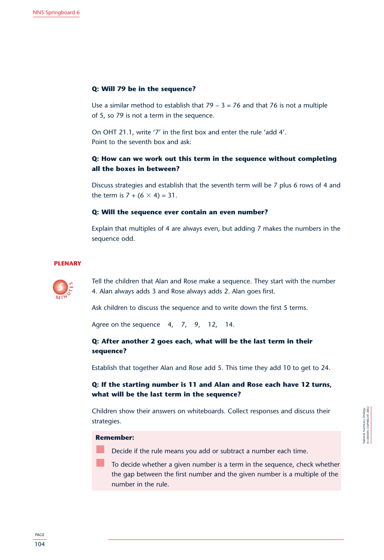### **Q: Will 79 be in the sequence?**

Use a similar method to establish that  $79 - 3 = 76$  and that 76 is not a multiple of 5, so 79 is not a term in the sequence.

On OHT 21.1, write '7' in the first box and enter the rule 'add 4'. Point to the seventh box and ask:

### **Q: How can we work out this term in the sequence without completing all the boxes in between?**

Discuss strategies and establish that the seventh term will be 7 plus 6 rows of 4 and the term is  $7 + (6 \times 4) = 31$ .

### **Q: Will the sequence ever contain an even number?**

Explain that multiples of 4 are always even, but adding 7 makes the numbers in the sequence odd.

### **PLENARY**



Tell the children that Alan and Rose make a sequence. They start with the number 4. Alan always adds 3 and Rose always adds 2. Alan goes first.

Ask children to discuss the sequence and to write down the first 5 terms.

Agree on the sequence 4, 7, 9, 12, 14.

### **Q: After another 2 goes each, what will be the last term in their sequence?**

Establish that together Alan and Rose add 5. This time they add 10 to get to 24.

### **Q: If the starting number is 11 and Alan and Rose each have 12 turns, what will be the last term in the sequence?**

Children show their answers on whiteboards. Collect responses and discuss their strategies.

### **Remember:**

Decide if the rule means you add or subtract a number each time.

To decide whether a given number is a term in the sequence, check whether the gap between the first number and the given number is a multiple of the number in the rule.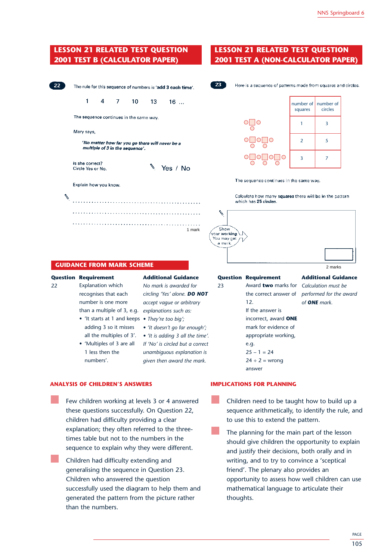### **LESSON 21 RELATED TEST QUESTION 2001 TEST B (CALCULATOR PAPER)**

| 22 | The rule for this sequence of numbers is 'add 3 each time'. |   |  |                                                                                    |  |          |  |
|----|-------------------------------------------------------------|---|--|------------------------------------------------------------------------------------|--|----------|--|
|    | 1                                                           | 4 |  | $7 \t10 \t13$                                                                      |  | 16       |  |
|    | The sequence continues in the same way.                     |   |  |                                                                                    |  |          |  |
|    | Mary says,                                                  |   |  |                                                                                    |  |          |  |
|    |                                                             |   |  | 'No matter how far you go there will never be a<br>multiple of 3 in the sequence'. |  |          |  |
|    | is she correct?<br>Circle Yes or No.                        |   |  |                                                                                    |  | Yes / No |  |
|    | Explain how you know.                                       |   |  |                                                                                    |  |          |  |
|    |                                                             |   |  |                                                                                    |  |          |  |
|    |                                                             |   |  |                                                                                    |  |          |  |
|    |                                                             |   |  |                                                                                    |  | 1 mark   |  |

### **Question Requirement Additional Guidance**

Explanation which recognises that each number is one more

- 'It starts at 1 and keeps They're too big'; adding 3 so it misses all the multiples of 3'.
- 'Multiples of 3 are all 1 less then the numbers'.

22 *No mark is awarded for circling 'Yes' alone. DO NOT accept vague or arbitrary explanations such as:* than a multiple of 3, e.g.

- 
- *'It doesn't go far enough';*
- *'It is adding 3 all the time'.*

*If 'No' is circled but a correct unambiguous explanation is given then award the mark.*

### **ANALYSIS OF CHILDREN'S ANSWERS**

- Few children working at levels 3 or 4 answered these questions successfully. On Question 22, children had difficulty providing a clear explanation; they often referred to the threetimes table but not to the numbers in the sequence to explain why they were different.
- Children had difficulty extending and generalising the sequence in Question 23. Children who answered the question successfully used the diagram to help them and generated the pattern from the picture rather than the numbers.

### **LESSON 21 RELATED TEST QUESTION 2001 TEST A (NON-CALCULATOR PAPER)**



Here is a sequence of patterns made from squares and circles.



The sequence continues in the same way.

Calculate how many squares there will be in the pattern which has 25 circles

|                                  | 1 mark | Show<br>′ your working.<br>, You may get<br>a mark. |         |
|----------------------------------|--------|-----------------------------------------------------|---------|
|                                  | --     |                                                     |         |
| <b>GUIDANCE FROM MARK SCHEME</b> |        |                                                     | 2 marks |

23 *Calculation must be* Award **two** marks for the correct answer of 12. If the answer is incorrect, award **ONE** mark for evidence of appropriate working, e.g.  $25 - 1 = 24$  $24 \div 2 =$  wrong answer

### **Question Requirement Additional Guidance** *performed for the award of ONE mark.*

### **IMPLICATIONS FOR PLANNING**

- Children need to be taught how to build up a sequence arithmetically, to identify the rule, and to use this to extend the pattern.
- The planning for the main part of the lesson should give children the opportunity to explain and justify their decisions, both orally and in writing, and to try to convince a 'sceptical friend'. The plenary also provides an opportunity to assess how well children can use mathematical language to articulate their thoughts.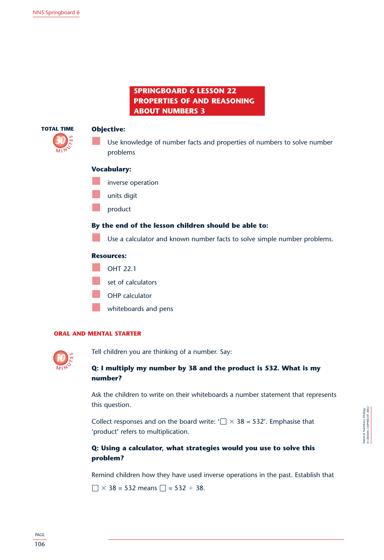### **SPRINGBOARD 6 LESSON 22 PROPERTIES OF AND REASONING ABOUT NUMBERS 3**



### **Objective:**

Use knowledge of number facts and properties of numbers to solve number problems

### **Vocabulary:**

- inverse operation
- units digit
- product

### **By the end of the lesson children should be able to:**

Use a calculator and known number facts to solve simple number problems.

### **Resources:**

- OHT 22.1
- set of calculators
- OHP calculator
- whiteboards and pens

### **ORAL AND MENTAL STARTER**



Tell children you are thinking of a number. Say:

### **Q: I multiply my number by 38 and the product is 532. What is my number?**

Ask the children to write on their whiteboards a number statement that represents this question.

Collect responses and on the board write: ' $\Box \times 38$  = 532'. Emphasise that 'product' refers to multiplication.

### **Q: Using a calculator, what strategies would you use to solve this problem?**

Remind children how they have used inverse operations in the past. Establish that

 $\times$  38 = 532 means  $\Box$  = 532 ÷ 38.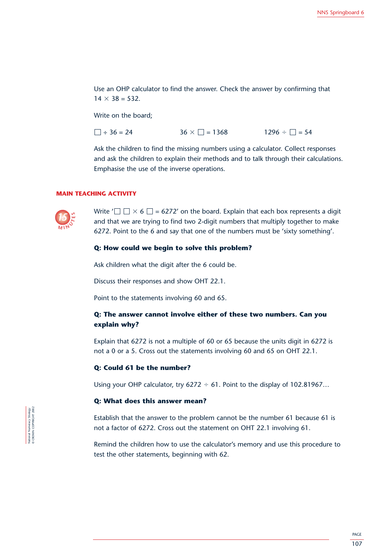Use an OHP calculator to find the answer. Check the answer by confirming that  $14 \times 38 = 532.$ 

Write on the board;

 $\Box \div 36 = 24$   $36 \times \Box = 1368$  $1296 \div \Box = 54$ 

Ask the children to find the missing numbers using a calculator. Collect responses and ask the children to explain their methods and to talk through their calculations. Emphasise the use of the inverse operations.

### **MAIN TEACHING ACTIVITY**



Write ' $\Box\Box\times$  6  $\Box$  = 6272' on the board. Explain that each box represents a digit and that we are trying to find two 2-digit numbers that multiply together to make 6272. Point to the 6 and say that one of the numbers must be 'sixty something'.

### **Q: How could we begin to solve this problem?**

Ask children what the digit after the 6 could be.

Discuss their responses and show OHT 22.1.

Point to the statements involving 60 and 65.

### **Q: The answer cannot involve either of these two numbers. Can you explain why?**

Explain that 6272 is not a multiple of 60 or 65 because the units digit in 6272 is not a 0 or a 5. Cross out the statements involving 60 and 65 on OHT 22.1.

### **Q: Could 61 be the number?**

Using your OHP calculator, try  $6272 \div 61$ . Point to the display of 102.81967...

### **Q: What does this answer mean?**

Establish that the answer to the problem cannot be the number 61 because 61 is not a factor of 6272. Cross out the statement on OHT 22.1 involving 61.

Remind the children how to use the calculator's memory and use this procedure to test the other statements, beginning with 62.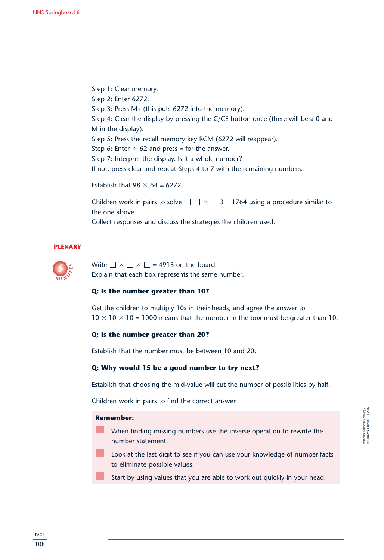Step 1: Clear memory. Step 2: Enter 6272. Step 3: Press M+ (this puts 6272 into the memory). Step 4: Clear the display by pressing the C/CE button once (there will be a 0 and M in the display). Step 5: Press the recall memory key RCM (6272 will reappear). Step 6: Enter  $\div$  62 and press = for the answer. Step 7: Interpret the display. Is it a whole number? If not, press clear and repeat Steps 4 to 7 with the remaining numbers.

Establish that  $98 \times 64 = 6272$ .

Children work in pairs to solve  $\square \square \times \square$  3 = 1764 using a procedure similar to the one above.

Collect responses and discuss the strategies the children used.

### **PLENARY**



Write  $\Box \times \Box \times \Box$  = 4913 on the board. Explain that each box represents the same number.

### **Q: Is the number greater than 10?**

Get the children to multiply 10s in their heads, and agree the answer to  $10 \times 10 \times 10 = 1000$  means that the number in the box must be greater than 10.

### **Q: Is the number greater than 20?**

Establish that the number must be between 10 and 20.

### **Q: Why would 15 be a good number to try next?**

Establish that choosing the mid-value will cut the number of possibilities by half.

Children work in pairs to find the correct answer.

### **Remember:**

- When finding missing numbers use the inverse operation to rewrite the number statement.
- Look at the last digit to see if you can use your knowledge of number facts to eliminate possible values.
- Start by using values that you are able to work out quickly in your head.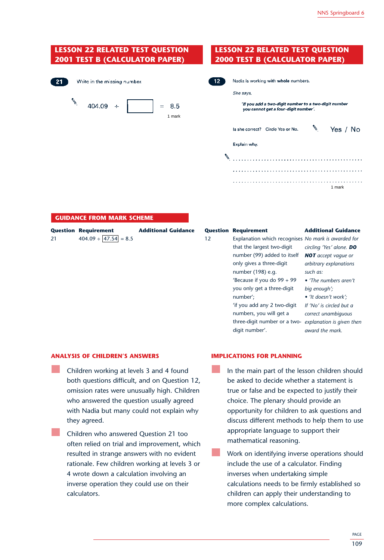### **LESSON 22 RELATED TEST QUESTION LESSON 22 RELATED TEST QUESTION 2001 TEST B (CALCULATOR PAPER) 2000 TEST B (CALCULATOR PAPER)**  $12^{\degree}$ Nadia is working with whole numbers.  $21$ Write in the missing number. She save  $\mathscr{N}$  $404.09 +$ 'If you add a two-digit number to a two-digit number 8.5  $=$ you cannot get a four-digit number'. 1 mark ↖ Is she correct? Circle Yes or No. Yes / No Explain why. 1 mark

| 21 | <b>Question Requirement</b><br>$404.09 \div  47.54  = 8.5$ | <b>Additional Guidance</b> | $12 \overline{ }$ | <b>Question Requirement</b><br>Explanation which recognises No mark is awarded for<br>that the largest two-digit<br>number (99) added to itself<br>only gives a three-digit<br>number (198) e.g.<br>'Because if you do $99 + 99$ | <b>Additional Guidance</b><br>circling 'Yes' alone. DO<br><b>NOT</b> accept vaque or<br>arbitrary explanations<br>such as:<br>• The numbers aren't |
|----|------------------------------------------------------------|----------------------------|-------------------|----------------------------------------------------------------------------------------------------------------------------------------------------------------------------------------------------------------------------------|----------------------------------------------------------------------------------------------------------------------------------------------------|
|    |                                                            |                            |                   | number';<br>'if you add any 2 two-digit<br>numbers, you will get a<br>three-digit number or a two-<br>digit number'.                                                                                                             | • 'It doesn't work';<br>If 'No' is circled but a<br>correct unambiguous<br>explanation is given then<br>award the mark.                            |

### **ANALYSIS OF CHILDREN'S ANSWERS**

**GUIDANCE FROM MARK SCHEME**

- Children working at levels 3 and 4 found both questions difficult, and on Question 12, omission rates were unusually high. Children who answered the question usually agreed with Nadia but many could not explain why they agreed.
- Children who answered Question 21 too often relied on trial and improvement, which resulted in strange answers with no evident rationale. Few children working at levels 3 or 4 wrote down a calculation involving an inverse operation they could use on their calculators.

### **IMPLICATIONS FOR PLANNING**

- In the main part of the lesson children should be asked to decide whether a statement is true or false and be expected to justify their choice. The plenary should provide an opportunity for children to ask questions and discuss different methods to help them to use appropriate language to support their mathematical reasoning.
- Work on identifying inverse operations should include the use of a calculator. Finding inverses when undertaking simple calculations needs to be firmly established so children can apply their understanding to more complex calculations.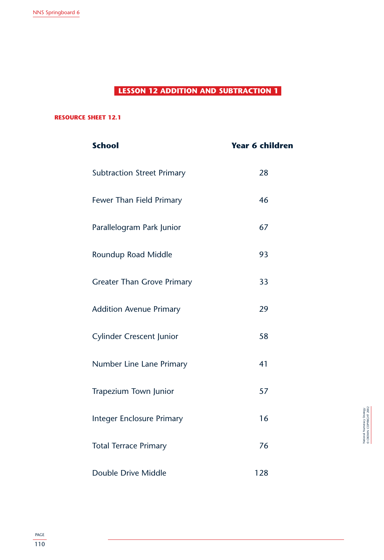### **LESSON 12 ADDITION AND SUBTRACTION 1**

### **RESOURCE SHEET 12.1**

| <b>School</b>                     | <b>Year 6 children</b> |
|-----------------------------------|------------------------|
| <b>Subtraction Street Primary</b> | 28                     |
| Fewer Than Field Primary          | 46                     |
| Parallelogram Park Junior         | 67                     |
| Roundup Road Middle               | 93                     |
| <b>Greater Than Grove Primary</b> | 33                     |
| <b>Addition Avenue Primary</b>    | 29                     |
| <b>Cylinder Crescent Junior</b>   | 58                     |
| Number Line Lane Primary          | 41                     |
| Trapezium Town Junior             | 57                     |
| <b>Integer Enclosure Primary</b>  | 16                     |
| <b>Total Terrace Primary</b>      | 76                     |
| Double Drive Middle               | 128                    |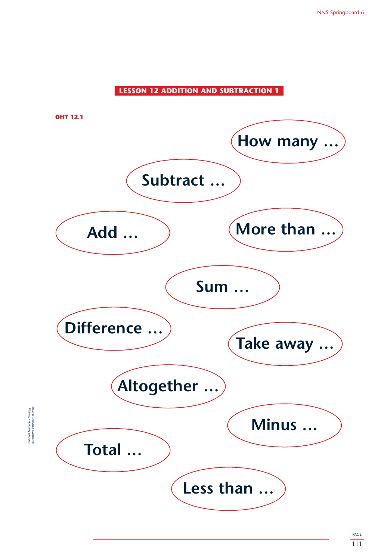### **LESSON 12 ADDITION AND SUBTRACTION 1**

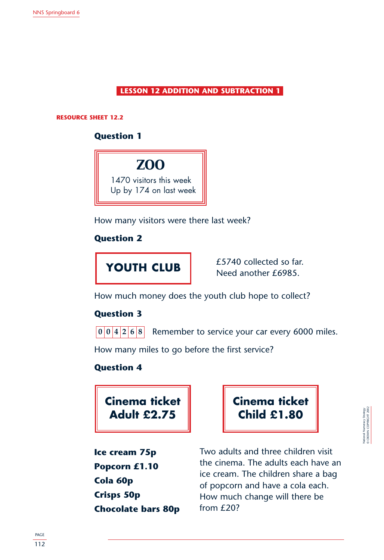**LESSON 12 ADDITION AND SUBTRACTION 1**

**RESOURCE SHEET 12.2**

### **Question 1**



How many visitors were there last week?

### **Question 2**



£5740 collected so far. Need another £6985.

How much money does the youth club hope to collect?

### **Question 3**

Remember to service your car every 6000 miles. **004268**

How many miles to go before the first service?

### **Question 4**

**Cinema ticket Adult £2.75**

**Cinema ticket Child £1.80**

© CROWN COPYRIGHT 2002 National Numeracy Strategy ational Numeracy Strategy<br>CROWN COPYRIGHT 200

**Ice cream 75p Popcorn £1.10 Cola 60p Crisps 50p Chocolate bars 80p** Two adults and three children visit the cinema. The adults each have an ice cream. The children share a bag of popcorn and have a cola each. How much change will there be from £20?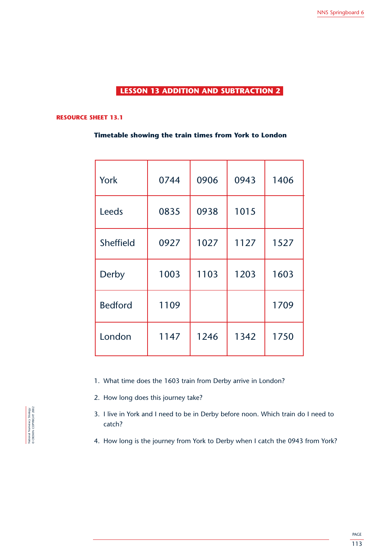### **LESSON 13 ADDITION AND SUBTRACTION 2**

### **RESOURCE SHEET 13.1**

### **Timetable showing the train times from York to London**

| York           | 0744 | 0906 | 0943 | 1406 |
|----------------|------|------|------|------|
| Leeds          | 0835 | 0938 | 1015 |      |
| Sheffield      | 0927 | 1027 | 1127 | 1527 |
| Derby          | 1003 | 1103 | 1203 | 1603 |
| <b>Bedford</b> | 1109 |      |      | 1709 |
| London         | 1147 | 1246 | 1342 | 1750 |

- 1. What time does the 1603 train from Derby arrive in London?
- 2. How long does this journey take?
- 3. I live in York and I need to be in Derby before noon. Which train do I need to catch?
- 4. How long is the journey from York to Derby when I catch the 0943 from York?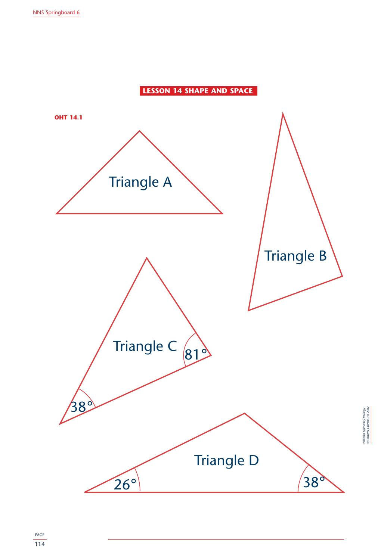

© CROWN COPYRIGHT 2002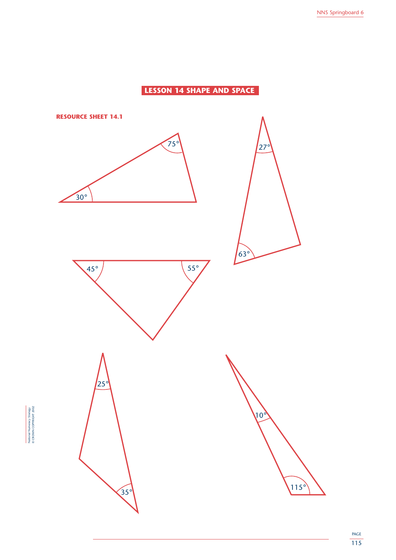### **LESSON 14 SHAPE AND SPACE**



National Numeracy Strategy © CROWN COPYRIGHT 2002

National Numeracy Strategy<br>© CROWN COPYRIGHT 2002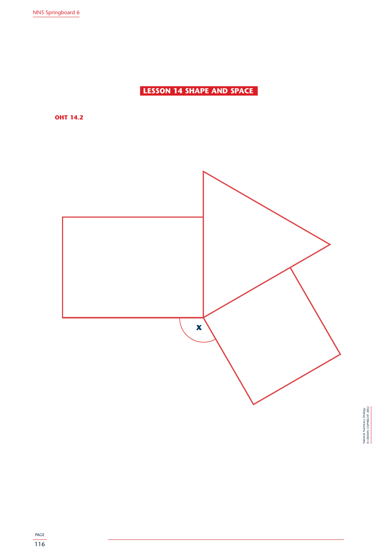**LESSON 14 SHAPE AND SPACE**

**OHT 14.2**

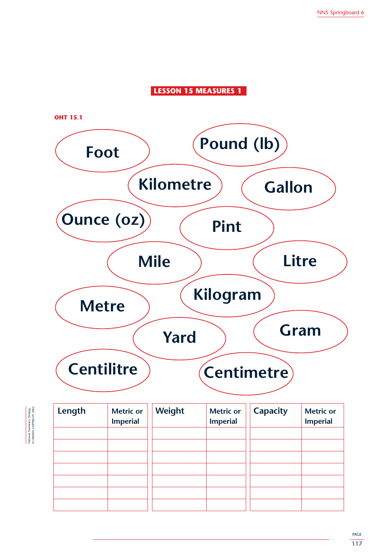### **LESSON 15 MEASURES 1**



National Numeracy Strategy<br>© CROWN COPYRIGHT 2002 © CROWN COPYRIGHT 2002 National Numeracy Strategy

| Length | <b>Metric or</b><br><b>Imperial</b> | Weight | <b>Metric or</b><br><b>Imperial</b> | <b>Capacity</b> | <b>Metric or</b><br><b>Imperial</b> |
|--------|-------------------------------------|--------|-------------------------------------|-----------------|-------------------------------------|
|        |                                     |        |                                     |                 |                                     |
|        |                                     |        |                                     |                 |                                     |
|        |                                     |        |                                     |                 |                                     |
|        |                                     |        |                                     |                 |                                     |
|        |                                     |        |                                     |                 |                                     |
|        |                                     |        |                                     |                 |                                     |
|        |                                     |        |                                     |                 |                                     |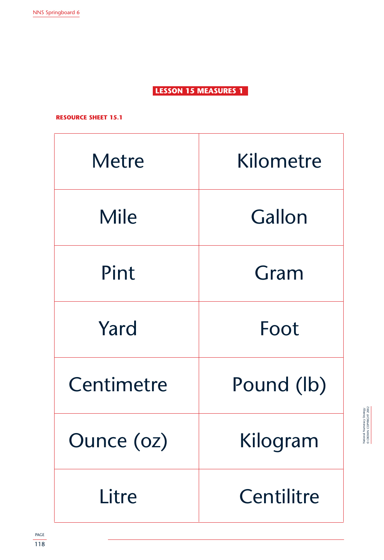**LESSON 15 MEASURES 1**

**RESOURCE SHEET 15.1**

| <b>Metre</b> | Kilometre  |
|--------------|------------|
| <b>Mile</b>  | Gallon     |
| Pint         | Gram       |
| Yard         | Foot       |
| Centimetre   | Pound (lb) |
| Ounce (oz)   | Kilogram   |
| Litre        | Centilitre |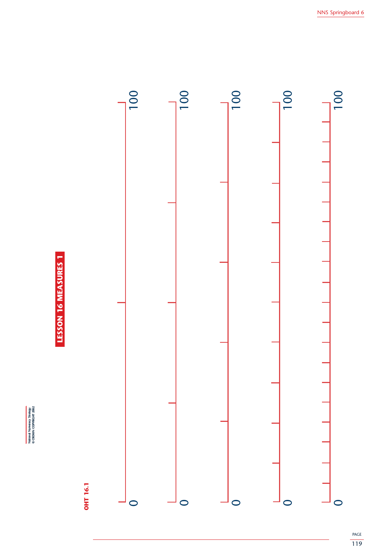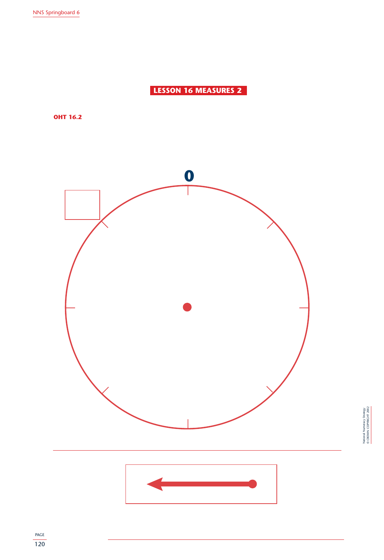**LESSON 16 MEASURES 2**

**OHT 16.2**

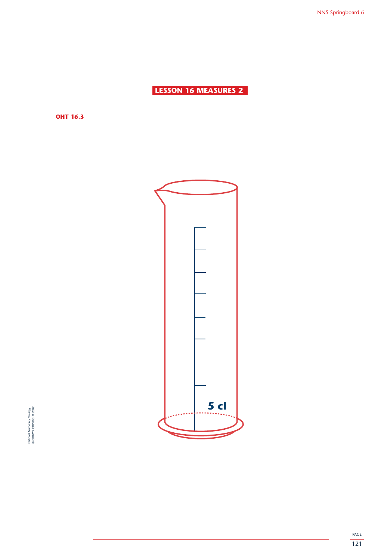**LESSON 16 MEASURES 2**

**OHT 16.3**



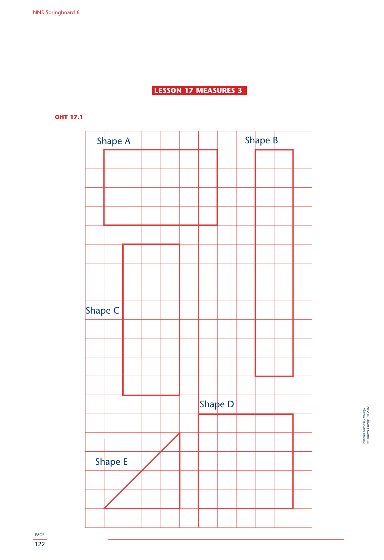### **LESSON 17 MEASURES 3**

**OHT 17.1**

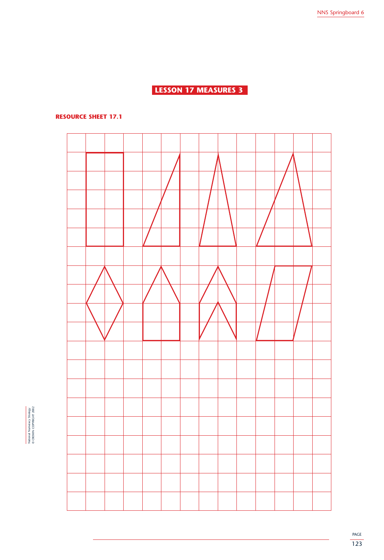### **LESSON 17 MEASURES 3**

### **RESOURCE SHEET 17.1**



National Numeracy Strategy<br>© CROWN COPYRIGHT 2002 © CROWN COPYRIGHT 2002 National Numeracy Strategy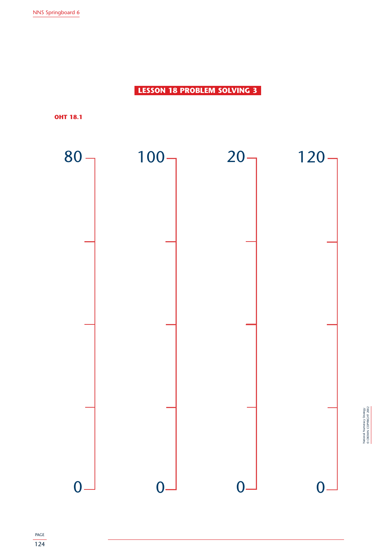**LESSON 18 PROBLEM SOLVING 3**

**OHT 18.1**



National Numeracy Strategy<br>© CROWN COPYRIGHT 2002 © CROWN COPYRIGHT 2002 National Numeracy Strategy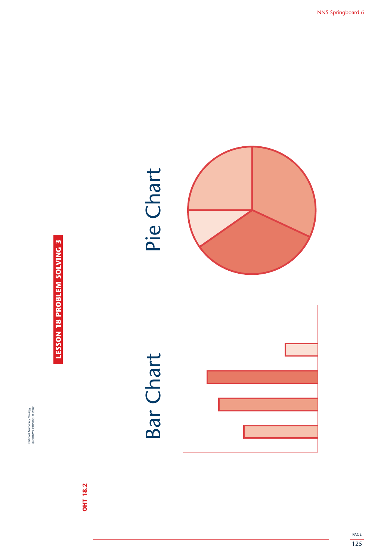

**LESSON 18 PROBLEM SOLVING 3 LESSON 18 PROBLEM SOLVING 3**

> **OHT 18.2 OHT 18.2**

# Bar Chart Pie ChartBar Chart

## Pie Chart

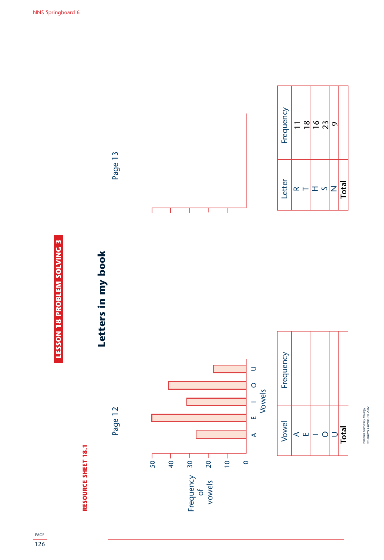

### **RESOURCE SHEET 18.1 RESOURCE SHEET 18.1**

### Letters in my book **Letters in my book**

Page 13

Page 13







National Numeracy Strategy © CROWN COPYRIGHT 2002

National Numeracy Strategy<br>© CROWN COPYRIGHT 2002



**Total**

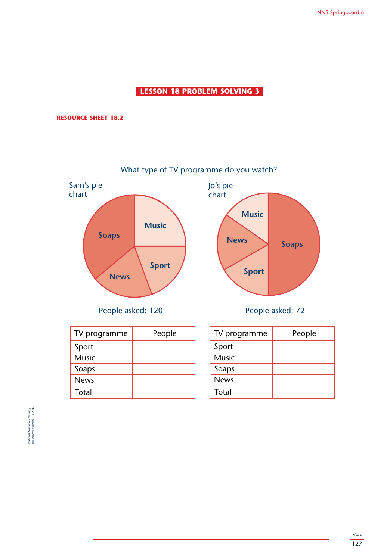### **LESSON 18 PROBLEM SOLVING 3**

### **RESOURCE SHEET 18.2**



People asked: 120 People asked: 72

| TV programme | People |
|--------------|--------|
| Sport        |        |
| <b>Music</b> |        |
| Soaps        |        |
| <b>News</b>  |        |
| Total        |        |

| TV programme | People |
|--------------|--------|
| Sport        |        |
| <b>Music</b> |        |
| Soaps        |        |
| <b>News</b>  |        |
| Total        |        |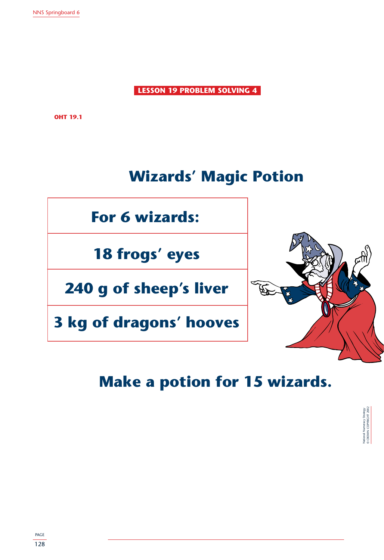**LESSON 19 PROBLEM SOLVING 4**

**OHT 19.1**

### **Wizards' Magic Potion**



**18 frogs' eyes**

**240 g of sheep's liver**

**3 kg of dragons' hooves**



### **Make a potion for 15 wizards.**

National Numeracy Strategy © CROWN COPYRIGHT 2002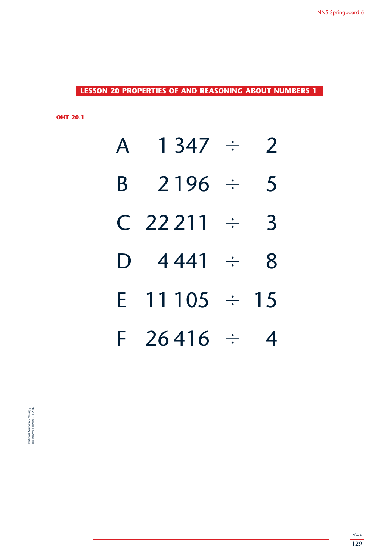**LESSON 20 PROPERTIES OF AND REASONING ABOUT NUMBERS 1**

**OHT 20.1**

| $\mathsf{A}$ | 1347 :            | 2              |
|--------------|-------------------|----------------|
| B            | $2196$ ÷          | 5              |
|              | $C$ 22211 ÷       | $\overline{3}$ |
|              | D $4441 \div$     | 8              |
|              | E $11105 \div 15$ |                |
|              | $F$ 26416 $\div$  | 4              |

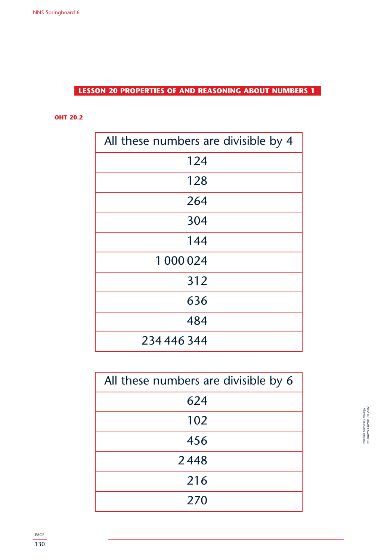**LESSON 20 PROPERTIES OF AND REASONING ABOUT NUMBERS 1**

**OHT 20.2**

| All these numbers are divisible by 4 |
|--------------------------------------|
| 124                                  |
| 128                                  |
| 264                                  |
| 304                                  |
| 144                                  |
| 1 000 024                            |
| 312                                  |
| 636                                  |
| 484                                  |
| 234 446 344                          |

| All these numbers are divisible by 6 |
|--------------------------------------|
| 624                                  |
| 102                                  |
| 456                                  |
| 2448                                 |
| 216                                  |
| 270                                  |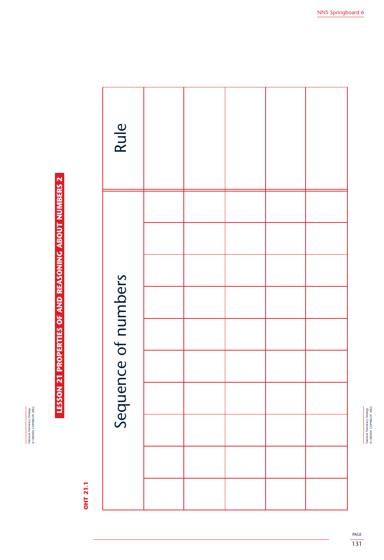National Numeracy Strategy<br>© CROWN COPYRIGHT 2002 © CROWN COPYRIGHT 2002 National Numeracy Strategy

## LESSON 21 PROPERTIES OF AND REASONING ABOUT NUMBERS 2 **LESSON 21 PROPERTIES OF AND REASONING ABOUT NUMBERS 2**

### **OHT 21.1 OHT 21.1**

| Rule                |  |  |  |
|---------------------|--|--|--|
| Sequence of numbers |  |  |  |
|                     |  |  |  |
|                     |  |  |  |
|                     |  |  |  |
|                     |  |  |  |
|                     |  |  |  |
|                     |  |  |  |
|                     |  |  |  |
|                     |  |  |  |
|                     |  |  |  |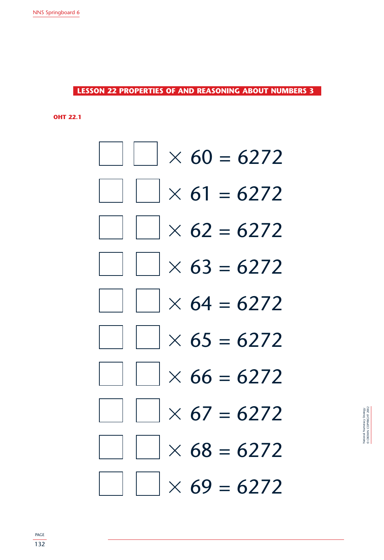**LESSON 22 PROPERTIES OF AND REASONING ABOUT NUMBERS 3**

**OHT 22.1**

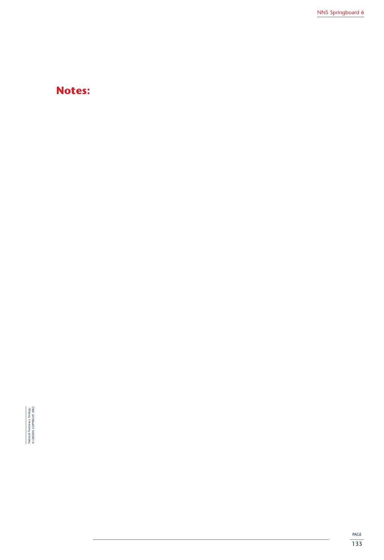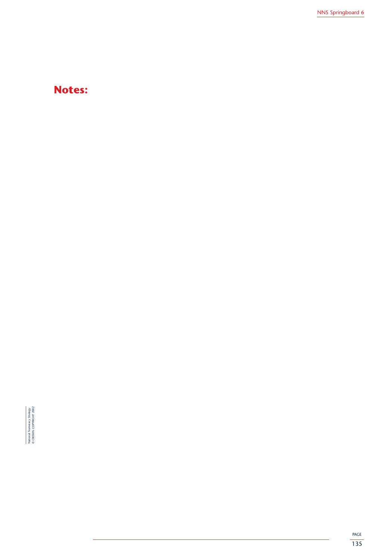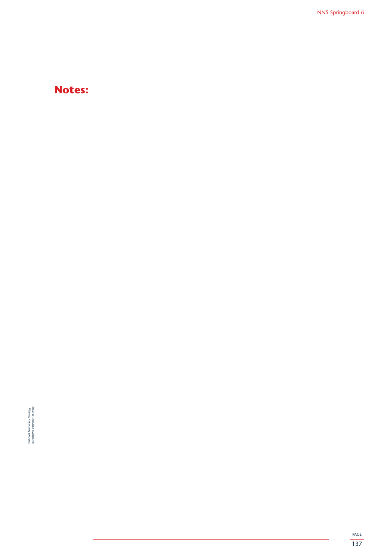

PAGE 137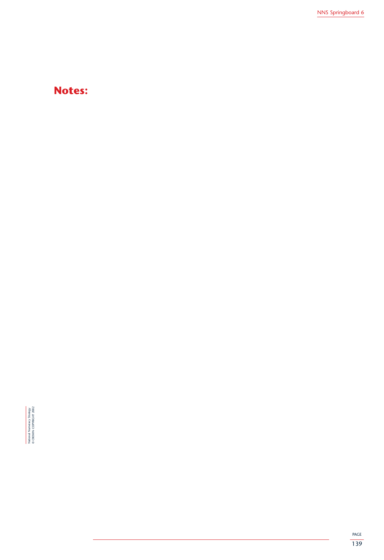

PAGE 139